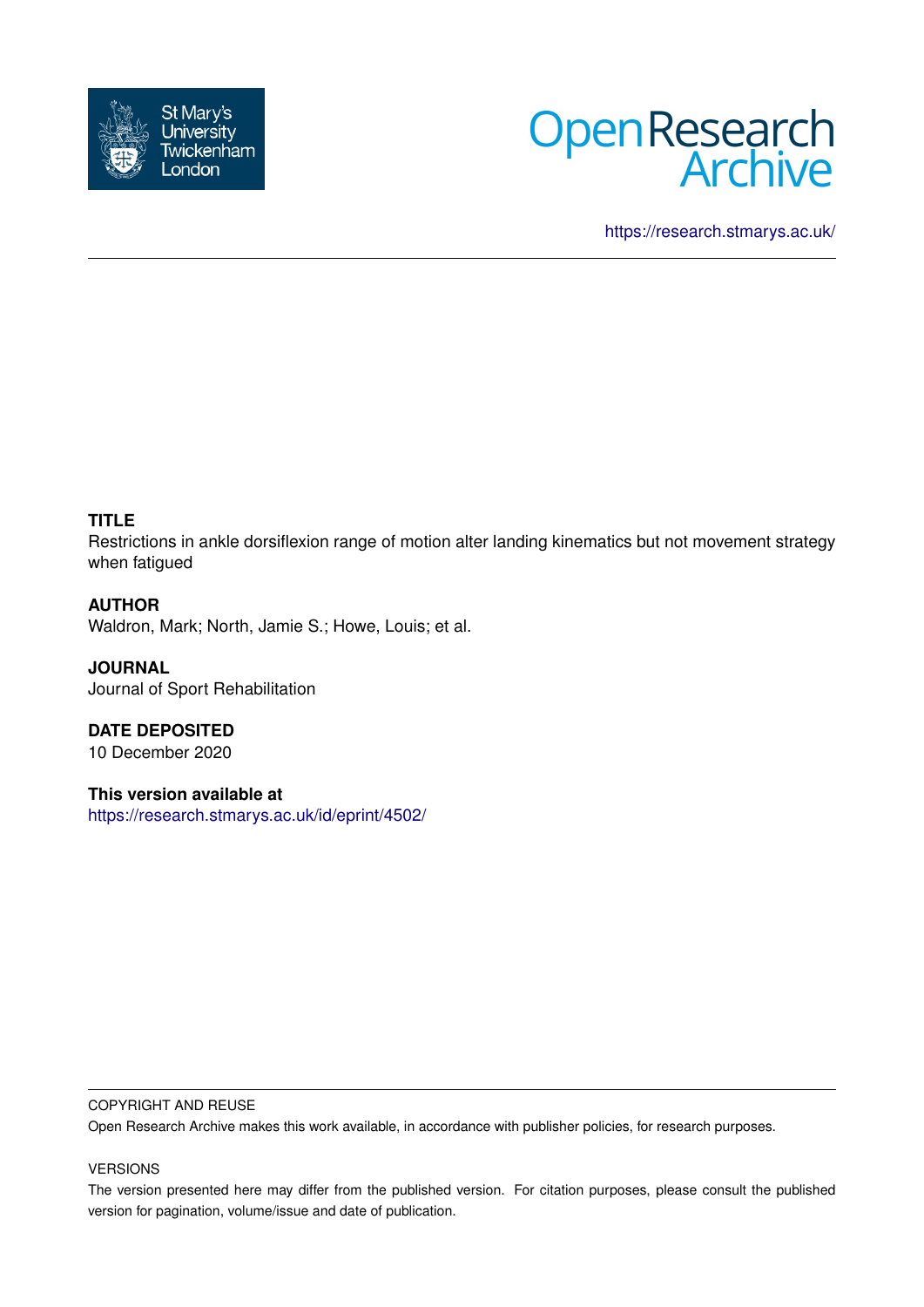



<https://research.stmarys.ac.uk/>

# **TITLE**

Restrictions in ankle dorsiflexion range of motion alter landing kinematics but not movement strategy when fatigued

## **AUTHOR**

Waldron, Mark; North, Jamie S.; Howe, Louis; et al.

**JOURNAL** Journal of Sport Rehabilitation

**DATE DEPOSITED** 10 December 2020

**This version available at** <https://research.stmarys.ac.uk/id/eprint/4502/>

#### COPYRIGHT AND REUSE

Open Research Archive makes this work available, in accordance with publisher policies, for research purposes.

#### VERSIONS

The version presented here may differ from the published version. For citation purposes, please consult the published version for pagination, volume/issue and date of publication.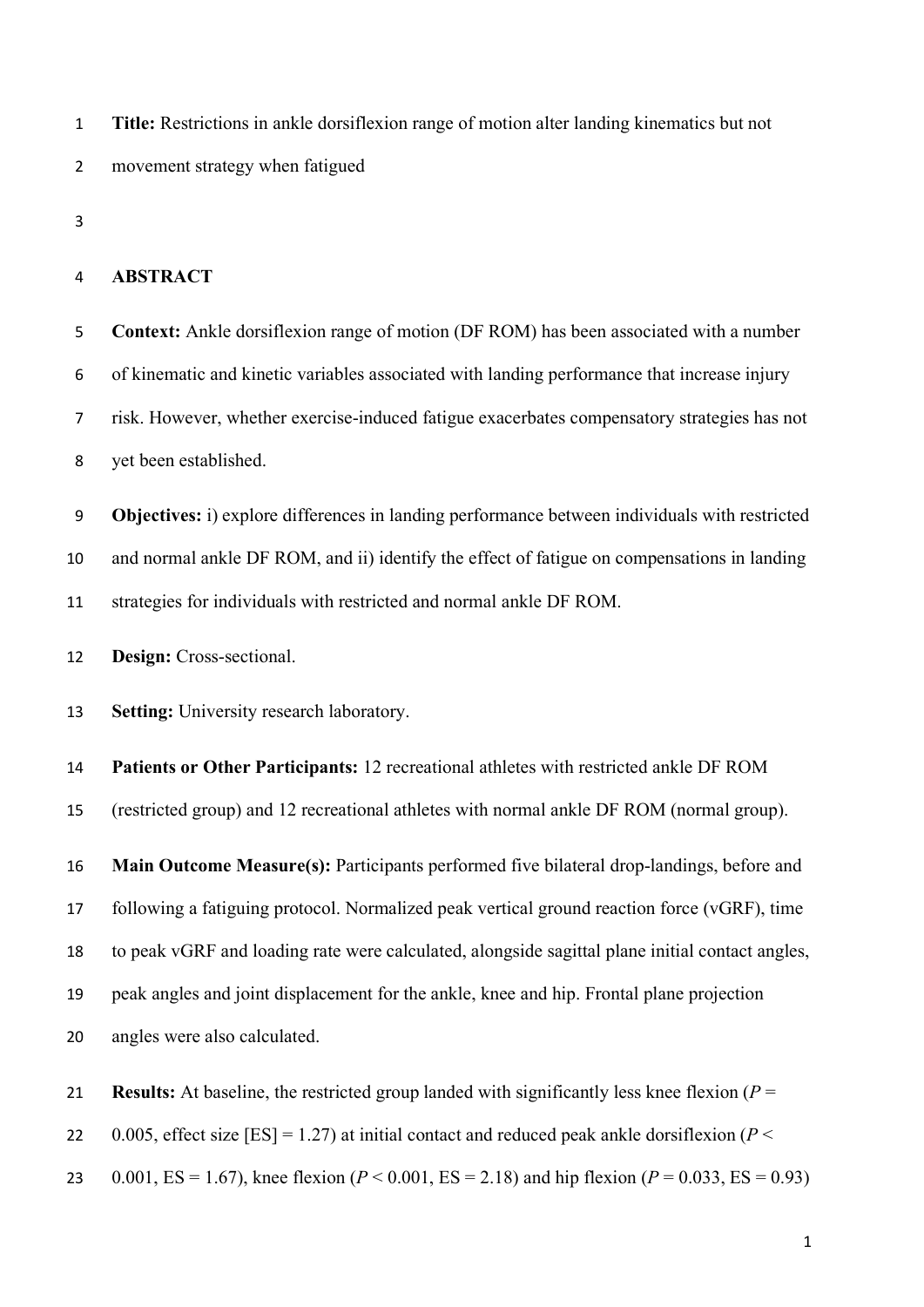**Title:** Restrictions in ankle dorsiflexion range of motion alter landing kinematics but not movement strategy when fatigued

#### **ABSTRACT**

**Context:** Ankle dorsiflexion range of motion (DF ROM) has been associated with a number of kinematic and kinetic variables associated with landing performance that increase injury risk. However, whether exercise-induced fatigue exacerbates compensatory strategies has not yet been established.

**Objectives:** i) explore differences in landing performance between individuals with restricted and normal ankle DF ROM, and ii) identify the effect of fatigue on compensations in landing strategies for individuals with restricted and normal ankle DF ROM.

**Design:** Cross-sectional.

**Setting:** University research laboratory.

 **Patients or Other Participants:** 12 recreational athletes with restricted ankle DF ROM (restricted group) and 12 recreational athletes with normal ankle DF ROM (normal group).

 **Main Outcome Measure(s):** Participants performed five bilateral drop-landings, before and following a fatiguing protocol. Normalized peak vertical ground reaction force (vGRF), time to peak vGRF and loading rate were calculated, alongside sagittal plane initial contact angles, peak angles and joint displacement for the ankle, knee and hip. Frontal plane projection angles were also calculated.

**Results:** At baseline, the restricted group landed with significantly less knee flexion (*P* =

22 0.005, effect size  $[ES] = 1.27$ ) at initial contact and reduced peak ankle dorsiflexion ( $P \le$ 

0.001, ES = 1.67), knee flexion (*P* < 0.001, ES = 2.18) and hip flexion (*P* = 0.033, ES = 0.93)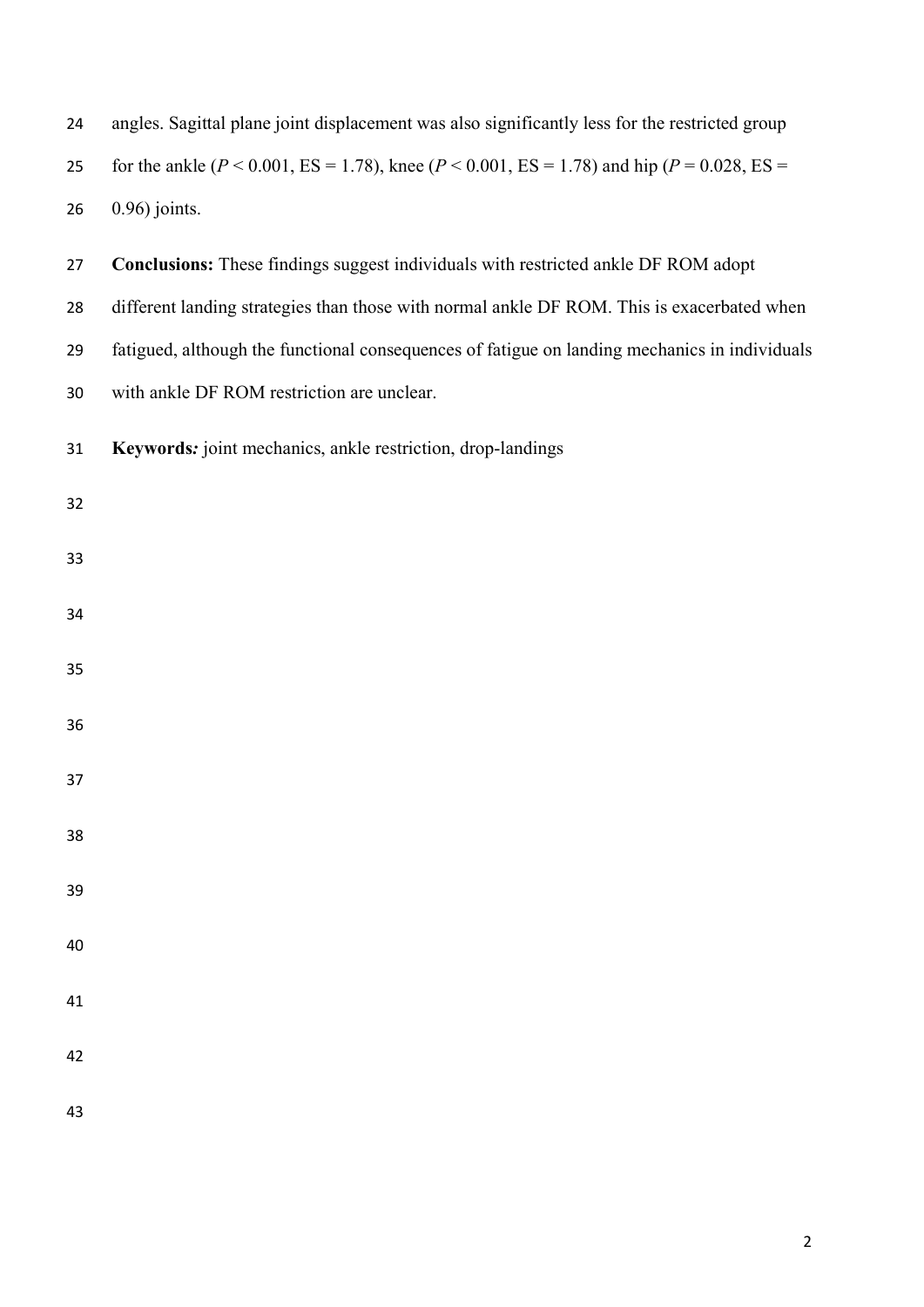| 25 | for the ankle ( $P < 0.001$ , ES = 1.78), knee ( $P < 0.001$ , ES = 1.78) and hip ( $P = 0.028$ , ES = |
|----|--------------------------------------------------------------------------------------------------------|
| 26 | $0.96$ ) joints.                                                                                       |
| 27 | Conclusions: These findings suggest individuals with restricted ankle DF ROM adopt                     |
| 28 | different landing strategies than those with normal ankle DF ROM. This is exacerbated when             |
| 29 | fatigued, although the functional consequences of fatigue on landing mechanics in individuals          |
| 30 | with ankle DF ROM restriction are unclear.                                                             |
| 31 | Keywords: joint mechanics, ankle restriction, drop-landings                                            |
| 32 |                                                                                                        |
| 33 |                                                                                                        |
| 34 |                                                                                                        |
| 35 |                                                                                                        |
| 36 |                                                                                                        |
| 37 |                                                                                                        |
| 38 |                                                                                                        |
| 39 |                                                                                                        |
| 40 |                                                                                                        |
| 41 |                                                                                                        |
| 42 |                                                                                                        |
| 43 |                                                                                                        |

angles. Sagittal plane joint displacement was also significantly less for the restricted group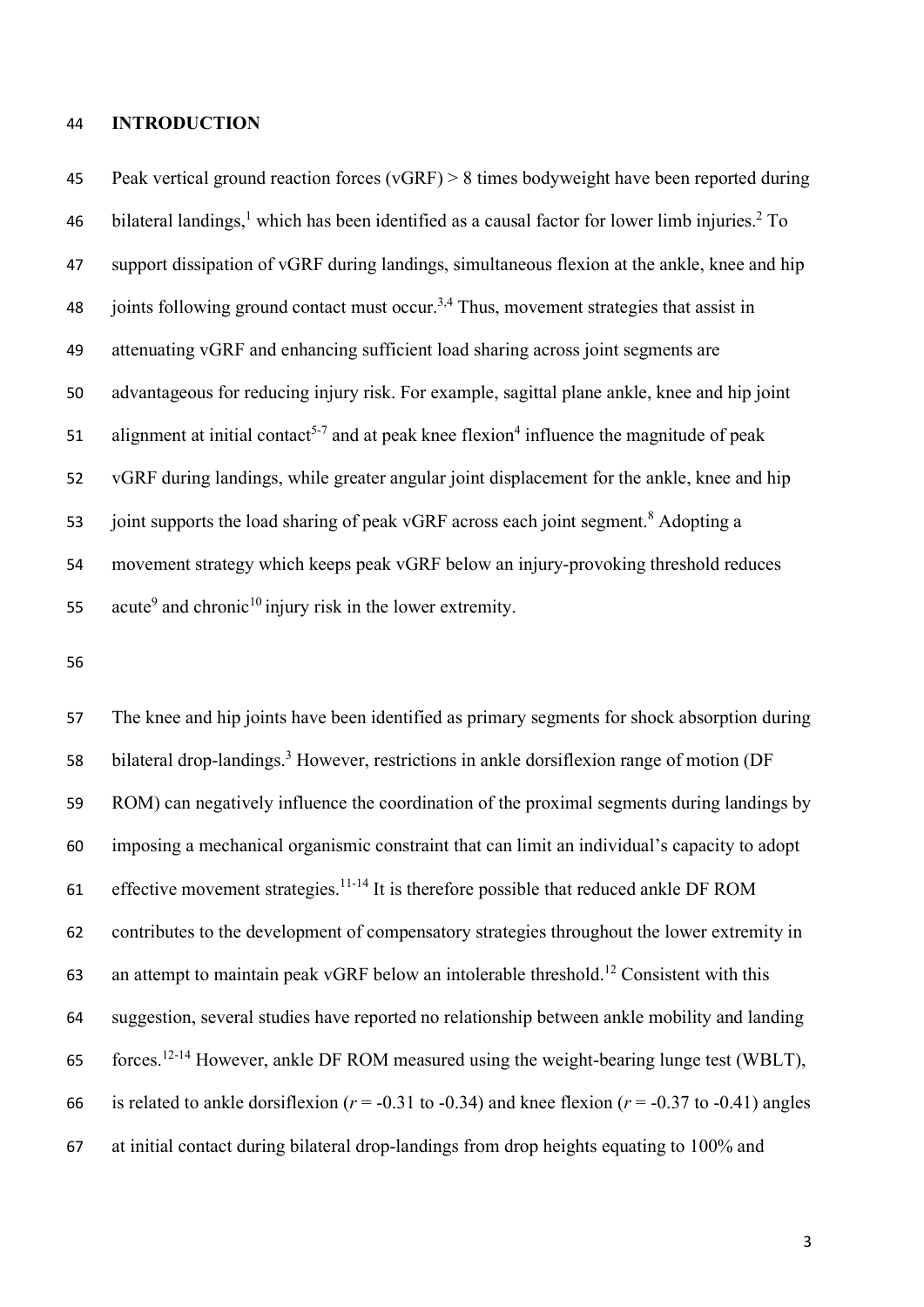### **INTRODUCTION**

 Peak vertical ground reaction forces (vGRF) > 8 times bodyweight have been reported during 46 bilateral landings, which has been identified as a causal factor for lower limb injuries.<sup>2</sup> To support dissipation of vGRF during landings, simultaneous flexion at the ankle, knee and hip 48 ioints following ground contact must occur.<sup>3,4</sup> Thus, movement strategies that assist in attenuating vGRF and enhancing sufficient load sharing across joint segments are advantageous for reducing injury risk. For example, sagittal plane ankle, knee and hip joint 51 alignment at initial contact<sup>5-7</sup> and at peak knee flexion<sup>4</sup> influence the magnitude of peak vGRF during landings, while greater angular joint displacement for the ankle, knee and hip 53 joint supports the load sharing of peak vGRF across each joint segment.<sup>8</sup> Adopting a movement strategy which keeps peak vGRF below an injury-provoking threshold reduces 55 acute<sup>9</sup> and chronic<sup>10</sup> injury risk in the lower extremity.

 The knee and hip joints have been identified as primary segments for shock absorption during 58 bilateral drop-landings.<sup>3</sup> However, restrictions in ankle dorsiflexion range of motion (DF ROM) can negatively influence the coordination of the proximal segments during landings by imposing a mechanical organismic constraint that can limit an individual's capacity to adopt 61 effective movement strategies.<sup>11-14</sup> It is therefore possible that reduced ankle DF ROM contributes to the development of compensatory strategies throughout the lower extremity in 63 an attempt to maintain peak vGRF below an intolerable threshold.<sup>12</sup> Consistent with this suggestion, several studies have reported no relationship between ankle mobility and landing forces.<sup>12-14</sup> However, ankle DF ROM measured using the weight-bearing lunge test (WBLT), 66 is related to ankle dorsiflexion ( $r = -0.31$  to  $-0.34$ ) and knee flexion ( $r = -0.37$  to  $-0.41$ ) angles at initial contact during bilateral drop-landings from drop heights equating to 100% and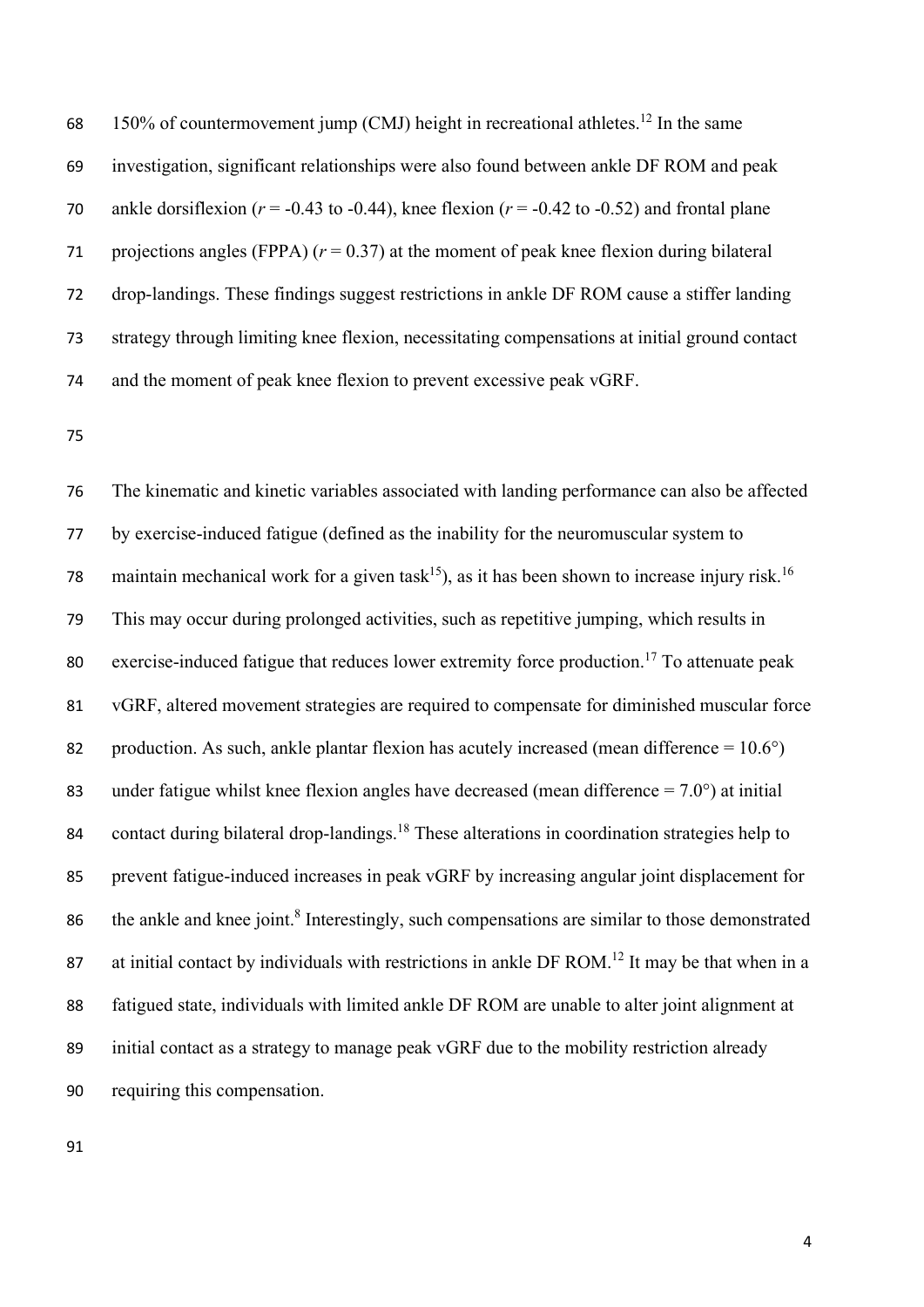68 150% of countermovement jump (CMJ) height in recreational athletes.<sup>12</sup> In the same 69 investigation, significant relationships were also found between ankle DF ROM and peak 70 ankle dorsiflexion ( $r = -0.43$  to  $-0.44$ ), knee flexion ( $r = -0.42$  to  $-0.52$ ) and frontal plane 71 projections angles (FPPA)  $(r = 0.37)$  at the moment of peak knee flexion during bilateral 72 drop-landings. These findings suggest restrictions in ankle DF ROM cause a stiffer landing 73 strategy through limiting knee flexion, necessitating compensations at initial ground contact 74 and the moment of peak knee flexion to prevent excessive peak vGRF.

75

76 The kinematic and kinetic variables associated with landing performance can also be affected 77 by exercise-induced fatigue (defined as the inability for the neuromuscular system to 78 maintain mechanical work for a given task<sup>15</sup>), as it has been shown to increase injury risk.<sup>16</sup> 79 This may occur during prolonged activities, such as repetitive jumping, which results in 80 exercise-induced fatigue that reduces lower extremity force production.<sup>17</sup> To attenuate peak 81 vGRF, altered movement strategies are required to compensate for diminished muscular force 82 production. As such, ankle plantar flexion has acutely increased (mean difference  $= 10.6^{\circ}$ ) 83 under fatigue whilst knee flexion angles have decreased (mean difference  $= 7.0^{\circ}$ ) at initial 84 contact during bilateral drop-landings.<sup>18</sup> These alterations in coordination strategies help to 85 prevent fatigue-induced increases in peak vGRF by increasing angular joint displacement for 86 the ankle and knee joint.<sup>8</sup> Interestingly, such compensations are similar to those demonstrated 87 at initial contact by individuals with restrictions in ankle DF ROM.<sup>12</sup> It may be that when in a 88 fatigued state, individuals with limited ankle DF ROM are unable to alter joint alignment at 89 initial contact as a strategy to manage peak vGRF due to the mobility restriction already 90 requiring this compensation.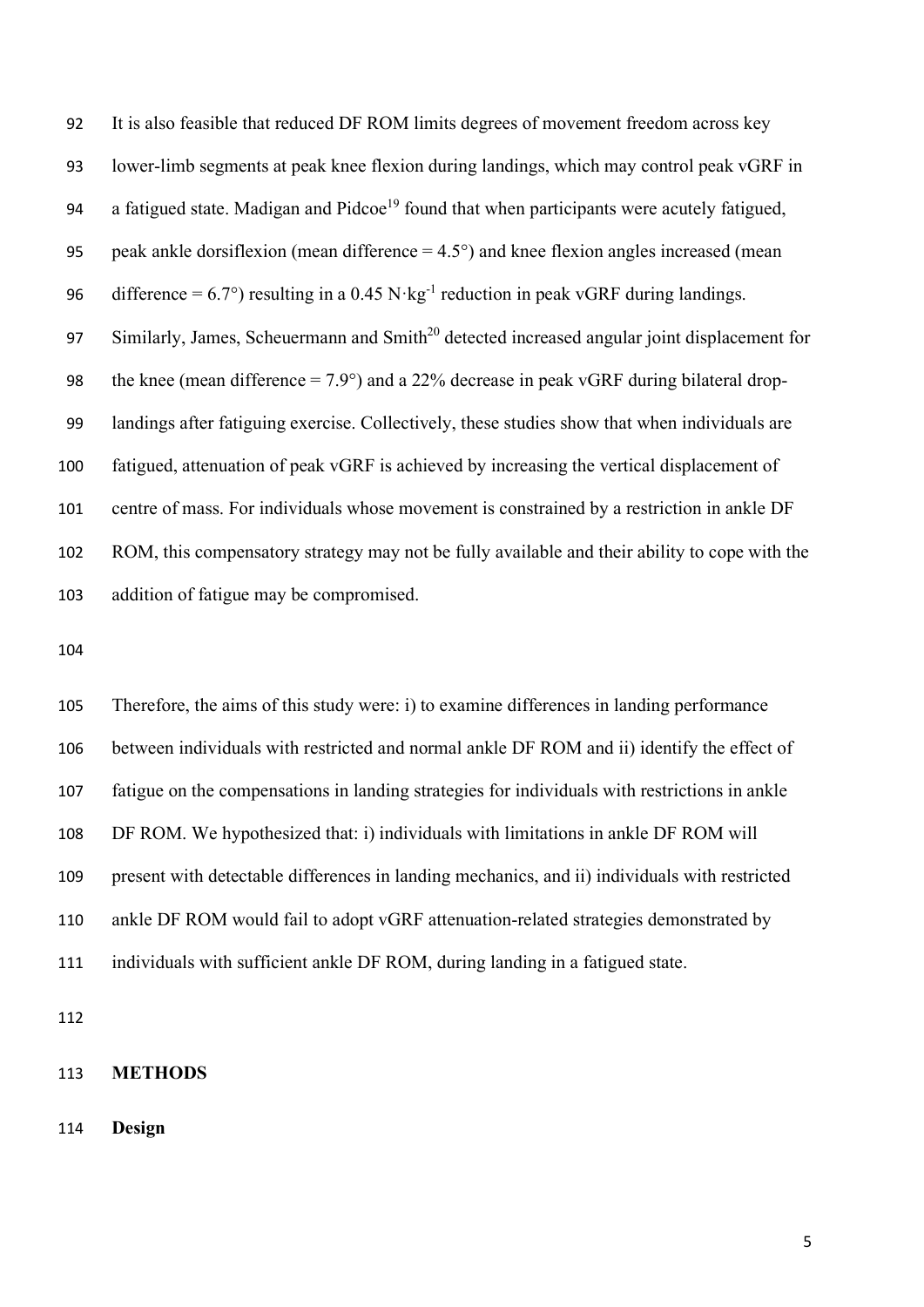It is also feasible that reduced DF ROM limits degrees of movement freedom across key lower-limb segments at peak knee flexion during landings, which may control peak vGRF in 94 a fatigued state. Madigan and Pidcoe<sup>19</sup> found that when participants were acutely fatigued, 95 peak ankle dorsiflexion (mean difference  $= 4.5^{\circ}$ ) and knee flexion angles increased (mean 96 difference =  $6.7^{\circ}$ ) resulting in a 0.45 N·kg<sup>-1</sup> reduction in peak vGRF during landings. 97 Similarly, James, Scheuermann and Smith<sup>20</sup> detected increased angular joint displacement for 98 the knee (mean difference  $= 7.9^{\circ}$ ) and a 22% decrease in peak vGRF during bilateral drop- landings after fatiguing exercise. Collectively, these studies show that when individuals are fatigued, attenuation of peak vGRF is achieved by increasing the vertical displacement of centre of mass. For individuals whose movement is constrained by a restriction in ankle DF ROM, this compensatory strategy may not be fully available and their ability to cope with the addition of fatigue may be compromised.

 Therefore, the aims of this study were: i) to examine differences in landing performance between individuals with restricted and normal ankle DF ROM and ii) identify the effect of fatigue on the compensations in landing strategies for individuals with restrictions in ankle DF ROM. We hypothesized that: i) individuals with limitations in ankle DF ROM will present with detectable differences in landing mechanics, and ii) individuals with restricted ankle DF ROM would fail to adopt vGRF attenuation-related strategies demonstrated by individuals with sufficient ankle DF ROM, during landing in a fatigued state.

## **METHODS**

**Design**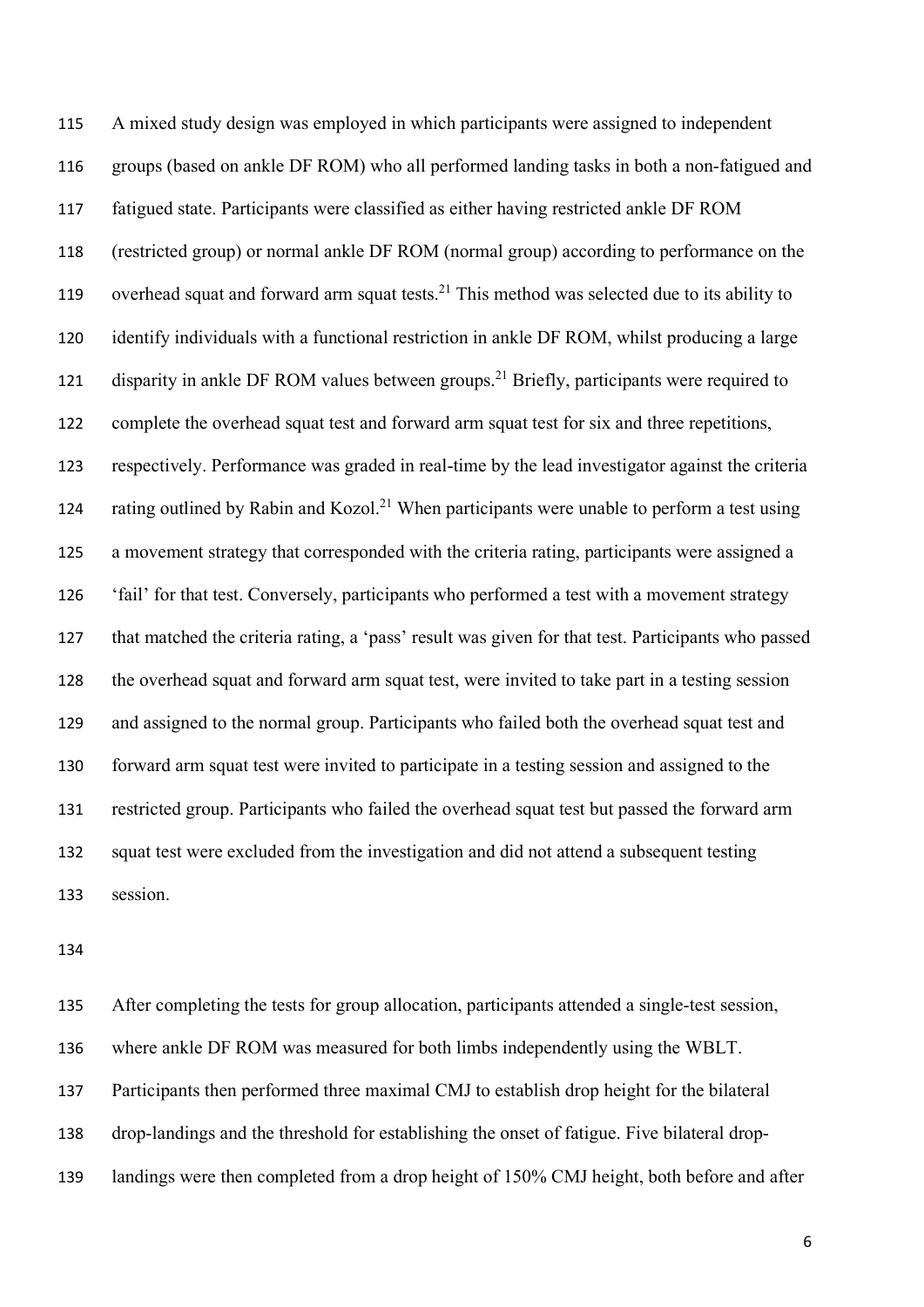A mixed study design was employed in which participants were assigned to independent groups (based on ankle DF ROM) who all performed landing tasks in both a non-fatigued and fatigued state. Participants were classified as either having restricted ankle DF ROM (restricted group) or normal ankle DF ROM (normal group) according to performance on the 119 overhead squat and forward arm squat tests.<sup>21</sup> This method was selected due to its ability to identify individuals with a functional restriction in ankle DF ROM, whilst producing a large 121 disparity in ankle DF ROM values between groups.<sup>21</sup> Briefly, participants were required to complete the overhead squat test and forward arm squat test for six and three repetitions, respectively. Performance was graded in real-time by the lead investigator against the criteria 124 rating outlined by Rabin and Kozol.<sup>21</sup> When participants were unable to perform a test using a movement strategy that corresponded with the criteria rating, participants were assigned a 'fail' for that test. Conversely, participants who performed a test with a movement strategy that matched the criteria rating, a 'pass' result was given for that test. Participants who passed the overhead squat and forward arm squat test, were invited to take part in a testing session and assigned to the normal group. Participants who failed both the overhead squat test and forward arm squat test were invited to participate in a testing session and assigned to the restricted group. Participants who failed the overhead squat test but passed the forward arm squat test were excluded from the investigation and did not attend a subsequent testing session.

 After completing the tests for group allocation, participants attended a single-test session, where ankle DF ROM was measured for both limbs independently using the WBLT. Participants then performed three maximal CMJ to establish drop height for the bilateral drop-landings and the threshold for establishing the onset of fatigue. Five bilateral drop-139 landings were then completed from a drop height of 150% CMJ height, both before and after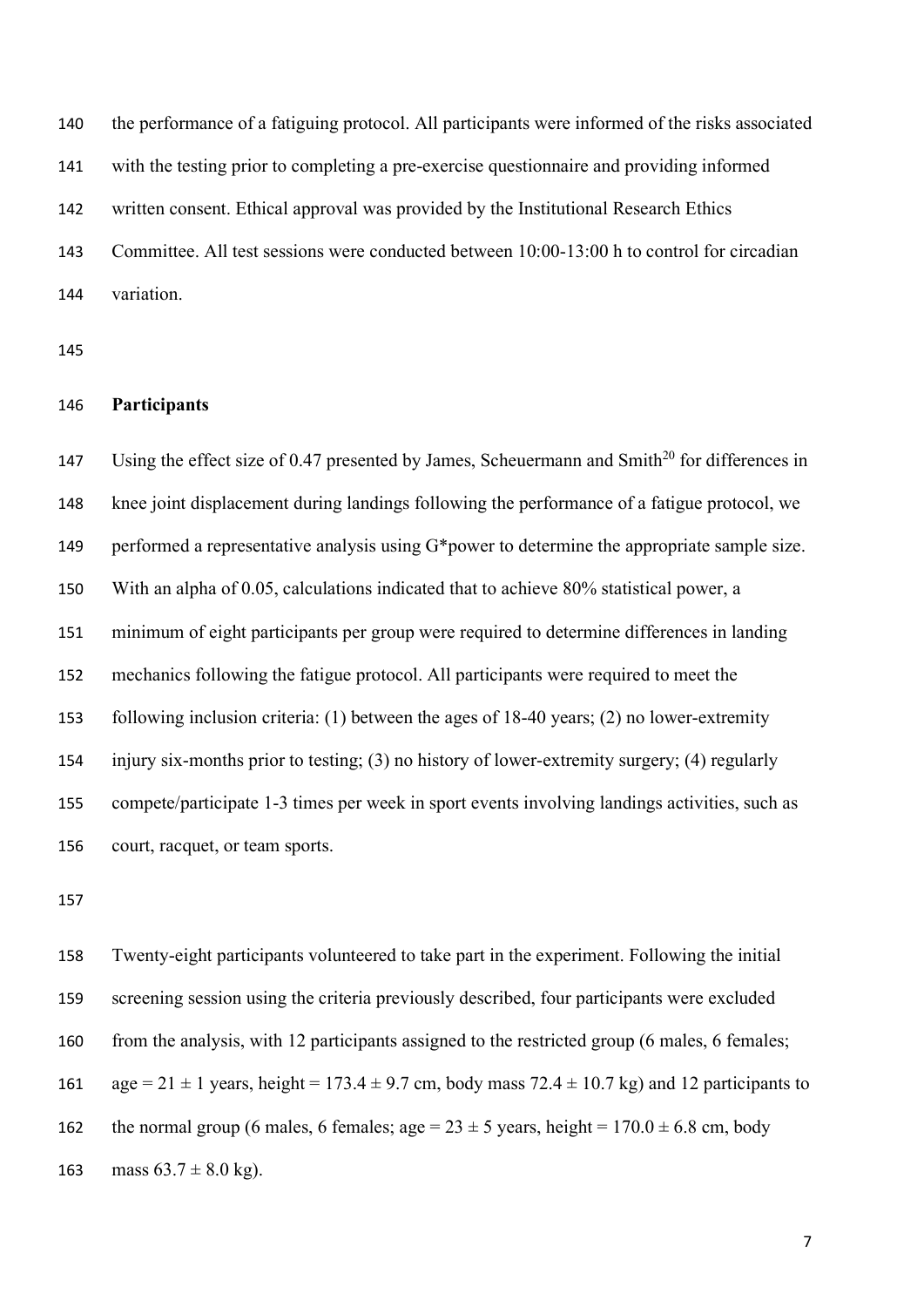the performance of a fatiguing protocol. All participants were informed of the risks associated with the testing prior to completing a pre-exercise questionnaire and providing informed written consent. Ethical approval was provided by the Institutional Research Ethics Committee. All test sessions were conducted between 10:00-13:00 h to control for circadian variation.

# **Participants**

147 Using the effect size of 0.47 presented by James, Scheuermann and Smith<sup>20</sup> for differences in knee joint displacement during landings following the performance of a fatigue protocol, we 149 performed a representative analysis using G\*power to determine the appropriate sample size. With an alpha of 0.05, calculations indicated that to achieve 80% statistical power, a minimum of eight participants per group were required to determine differences in landing mechanics following the fatigue protocol. All participants were required to meet the following inclusion criteria: (1) between the ages of 18-40 years; (2) no lower-extremity injury six-months prior to testing; (3) no history of lower-extremity surgery; (4) regularly compete/participate 1-3 times per week in sport events involving landings activities, such as court, racquet, or team sports.

 Twenty-eight participants volunteered to take part in the experiment. Following the initial screening session using the criteria previously described, four participants were excluded 160 from the analysis, with 12 participants assigned to the restricted group (6 males, 6 females; 161 age =  $21 \pm 1$  years, height = 173.4  $\pm$  9.7 cm, body mass 72.4  $\pm$  10.7 kg) and 12 participants to 162 the normal group (6 males, 6 females; age =  $23 \pm 5$  years, height =  $170.0 \pm 6.8$  cm, body 163 mass  $63.7 \pm 8.0$  kg).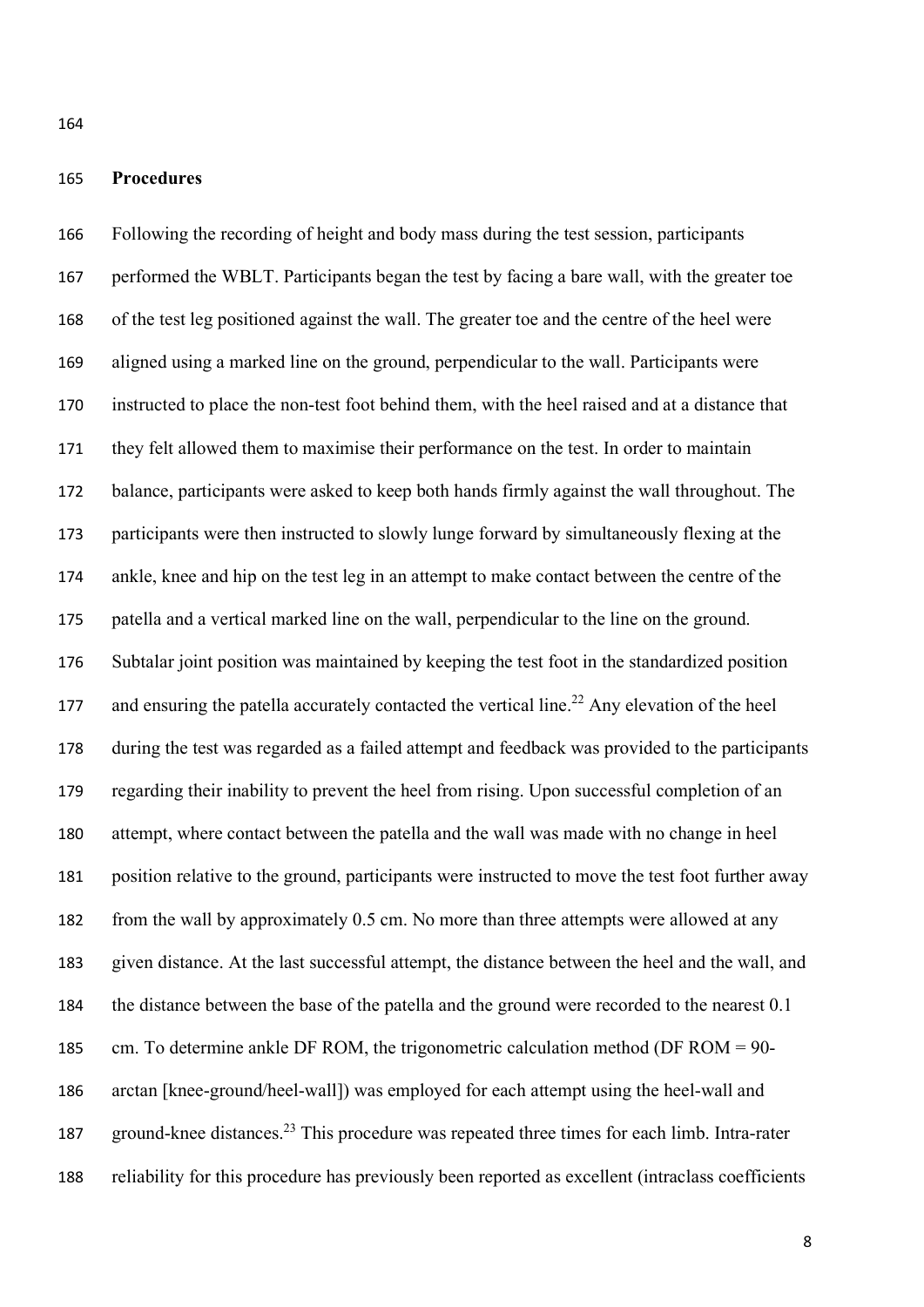## **Procedures**

 Following the recording of height and body mass during the test session, participants performed the WBLT. Participants began the test by facing a bare wall, with the greater toe of the test leg positioned against the wall. The greater toe and the centre of the heel were aligned using a marked line on the ground, perpendicular to the wall. Participants were instructed to place the non-test foot behind them, with the heel raised and at a distance that they felt allowed them to maximise their performance on the test. In order to maintain balance, participants were asked to keep both hands firmly against the wall throughout. The participants were then instructed to slowly lunge forward by simultaneously flexing at the ankle, knee and hip on the test leg in an attempt to make contact between the centre of the patella and a vertical marked line on the wall, perpendicular to the line on the ground. Subtalar joint position was maintained by keeping the test foot in the standardized position 177 and ensuring the patella accurately contacted the vertical line.<sup>22</sup> Any elevation of the heel during the test was regarded as a failed attempt and feedback was provided to the participants regarding their inability to prevent the heel from rising. Upon successful completion of an attempt, where contact between the patella and the wall was made with no change in heel position relative to the ground, participants were instructed to move the test foot further away from the wall by approximately 0.5 cm. No more than three attempts were allowed at any given distance. At the last successful attempt, the distance between the heel and the wall, and the distance between the base of the patella and the ground were recorded to the nearest 0.1 cm. To determine ankle DF ROM, the trigonometric calculation method (DF ROM = 90- arctan [knee-ground/heel-wall]) was employed for each attempt using the heel-wall and 187 ground-knee distances.<sup>23</sup> This procedure was repeated three times for each limb. Intra-rater reliability for this procedure has previously been reported as excellent (intraclass coefficients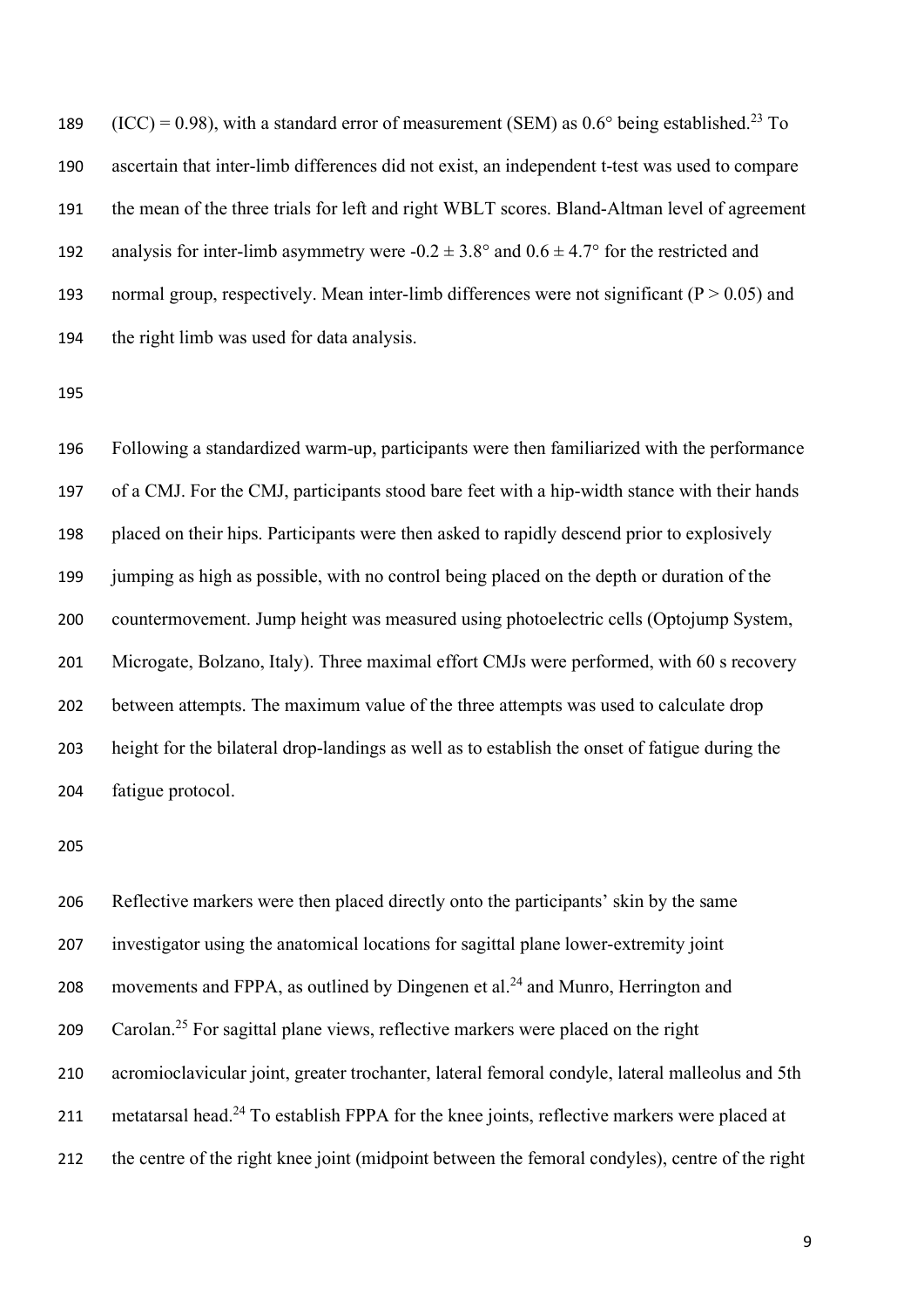189 (ICC) = 0.98), with a standard error of measurement (SEM) as  $0.6^{\circ}$  being established.<sup>23</sup> To ascertain that inter-limb differences did not exist, an independent t-test was used to compare the mean of the three trials for left and right WBLT scores. Bland-Altman level of agreement 192 analysis for inter-limb asymmetry were  $-0.2 \pm 3.8^{\circ}$  and  $0.6 \pm 4.7^{\circ}$  for the restricted and 193 normal group, respectively. Mean inter-limb differences were not significant ( $P > 0.05$ ) and the right limb was used for data analysis.

 Following a standardized warm-up, participants were then familiarized with the performance of a CMJ. For the CMJ, participants stood bare feet with a hip-width stance with their hands placed on their hips. Participants were then asked to rapidly descend prior to explosively jumping as high as possible, with no control being placed on the depth or duration of the countermovement. Jump height was measured using photoelectric cells (Optojump System, 201 Microgate, Bolzano, Italy). Three maximal effort CMJs were performed, with 60 s recovery between attempts. The maximum value of the three attempts was used to calculate drop height for the bilateral drop-landings as well as to establish the onset of fatigue during the fatigue protocol.

 Reflective markers were then placed directly onto the participants' skin by the same investigator using the anatomical locations for sagittal plane lower-extremity joint 208 movements and FPPA, as outlined by Dingenen et al.<sup>24</sup> and Munro, Herrington and 209 Carolan.<sup>25</sup> For sagittal plane views, reflective markers were placed on the right acromioclavicular joint, greater trochanter, lateral femoral condyle, lateral malleolus and 5th 211 metatarsal head.<sup>24</sup> To establish FPPA for the knee joints, reflective markers were placed at the centre of the right knee joint (midpoint between the femoral condyles), centre of the right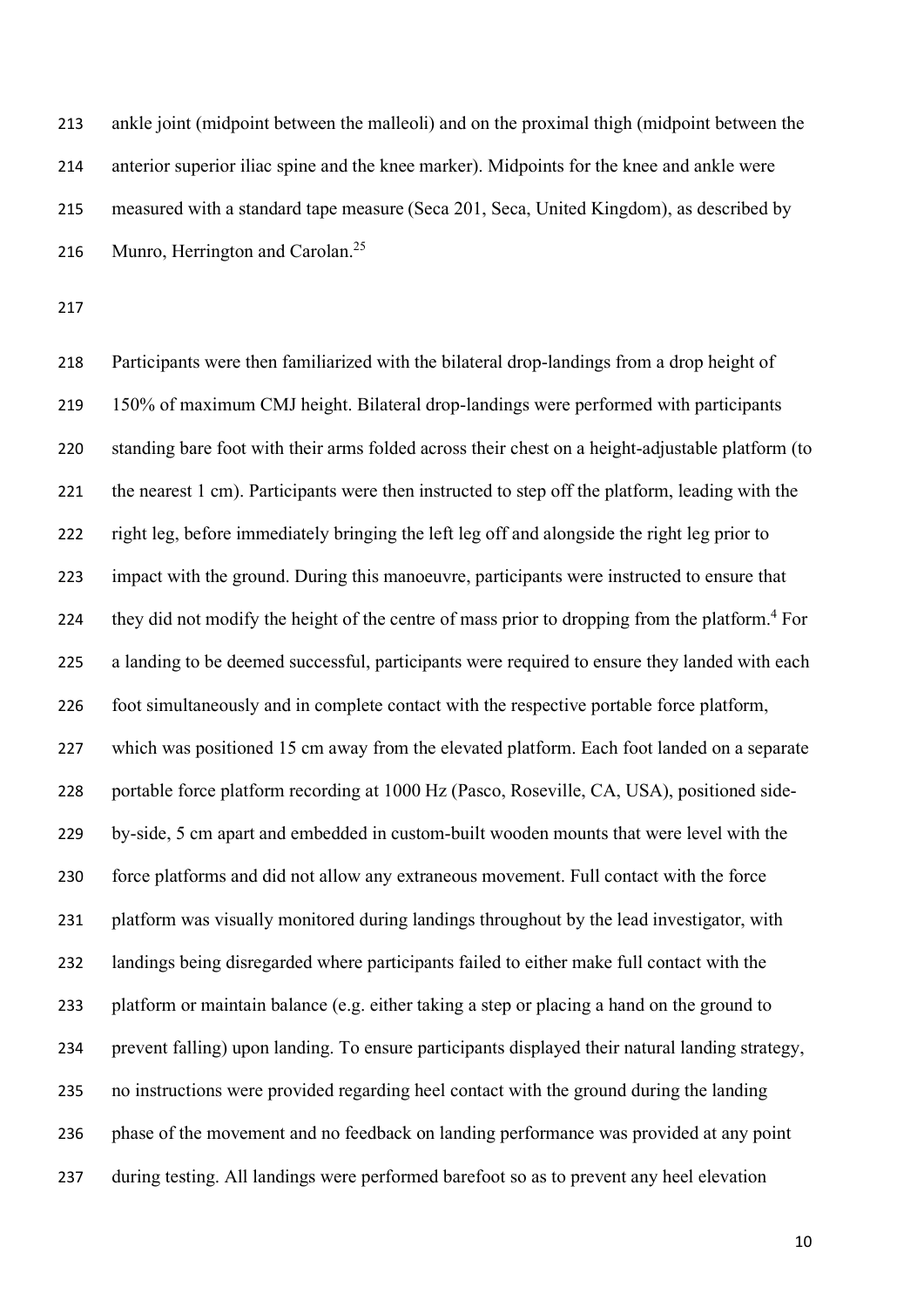ankle joint (midpoint between the malleoli) and on the proximal thigh (midpoint between the anterior superior iliac spine and the knee marker). Midpoints for the knee and ankle were measured with a standard tape measure (Seca 201, Seca, United Kingdom), as described by 216 Munro, Herrington and Carolan.<sup>25</sup>

 Participants were then familiarized with the bilateral drop-landings from a drop height of 150% of maximum CMJ height. Bilateral drop-landings were performed with participants standing bare foot with their arms folded across their chest on a height-adjustable platform (to the nearest 1 cm). Participants were then instructed to step off the platform, leading with the right leg, before immediately bringing the left leg off and alongside the right leg prior to impact with the ground. During this manoeuvre, participants were instructed to ensure that 224 they did not modify the height of the centre of mass prior to dropping from the platform.<sup>4</sup> For a landing to be deemed successful, participants were required to ensure they landed with each foot simultaneously and in complete contact with the respective portable force platform, which was positioned 15 cm away from the elevated platform. Each foot landed on a separate portable force platform recording at 1000 Hz (Pasco, Roseville, CA, USA), positioned side- by-side, 5 cm apart and embedded in custom-built wooden mounts that were level with the force platforms and did not allow any extraneous movement. Full contact with the force platform was visually monitored during landings throughout by the lead investigator, with landings being disregarded where participants failed to either make full contact with the platform or maintain balance (e.g. either taking a step or placing a hand on the ground to prevent falling) upon landing. To ensure participants displayed their natural landing strategy, no instructions were provided regarding heel contact with the ground during the landing phase of the movement and no feedback on landing performance was provided at any point during testing. All landings were performed barefoot so as to prevent any heel elevation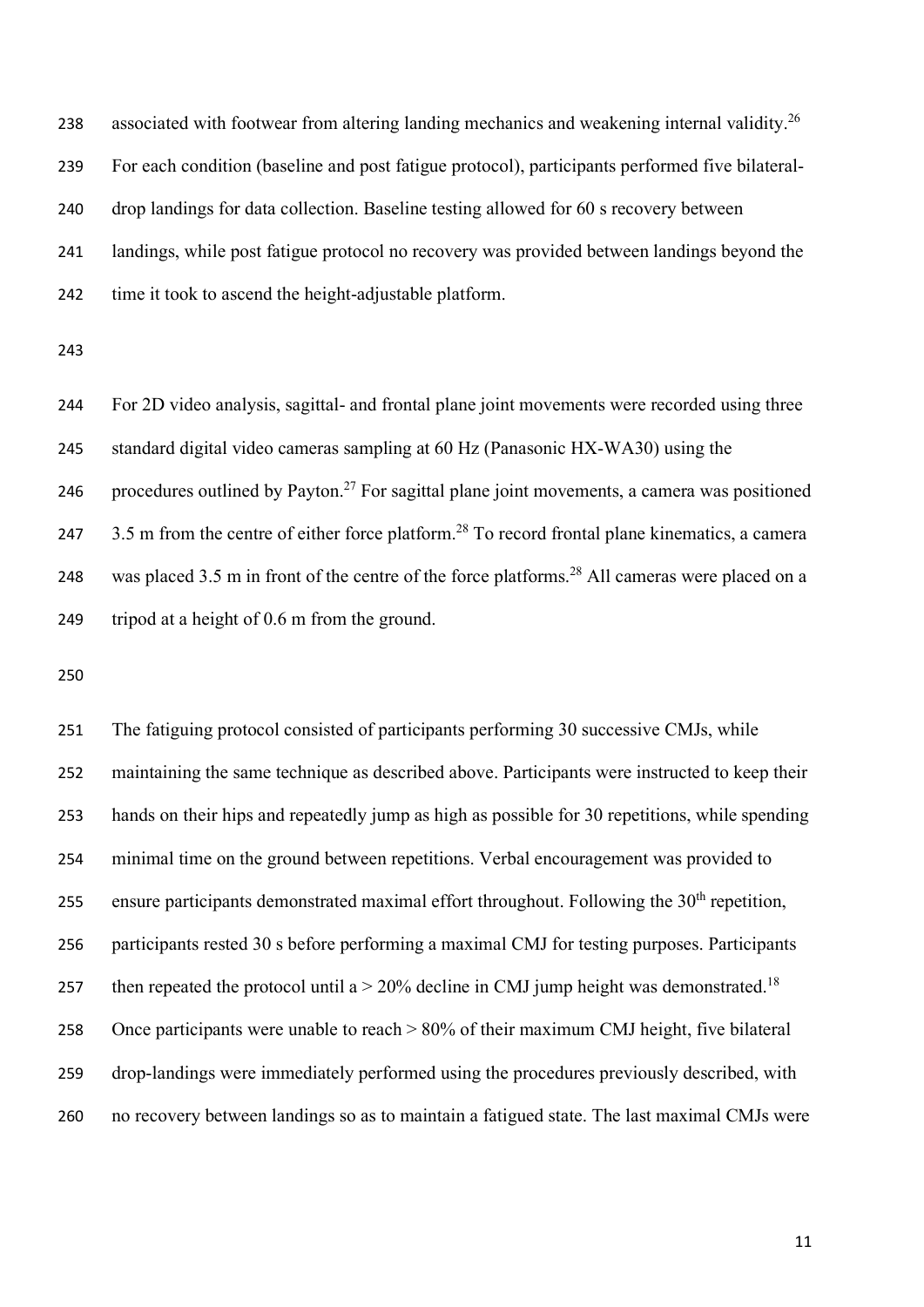238 associated with footwear from altering landing mechanics and weakening internal validity.<sup>26</sup> For each condition (baseline and post fatigue protocol), participants performed five bilateral- drop landings for data collection. Baseline testing allowed for 60 s recovery between landings, while post fatigue protocol no recovery was provided between landings beyond the time it took to ascend the height-adjustable platform.

 For 2D video analysis, sagittal- and frontal plane joint movements were recorded using three standard digital video cameras sampling at 60 Hz (Panasonic HX-WA30) using the 246 procedures outlined by Payton.<sup>27</sup> For sagittal plane joint movements, a camera was positioned  $3.5$  m from the centre of either force platform.<sup>28</sup> To record frontal plane kinematics, a camera 248 was placed 3.5 m in front of the centre of the force platforms.<sup>28</sup> All cameras were placed on a tripod at a height of 0.6 m from the ground.

 The fatiguing protocol consisted of participants performing 30 successive CMJs, while maintaining the same technique as described above. Participants were instructed to keep their hands on their hips and repeatedly jump as high as possible for 30 repetitions, while spending minimal time on the ground between repetitions. Verbal encouragement was provided to 255 ensure participants demonstrated maximal effort throughout. Following the  $30<sup>th</sup>$  repetition, participants rested 30 s before performing a maximal CMJ for testing purposes. Participants 257 then repeated the protocol until a  $>$  20% decline in CMJ jump height was demonstrated.<sup>18</sup> Once participants were unable to reach > 80% of their maximum CMJ height, five bilateral drop-landings were immediately performed using the procedures previously described, with no recovery between landings so as to maintain a fatigued state. The last maximal CMJs were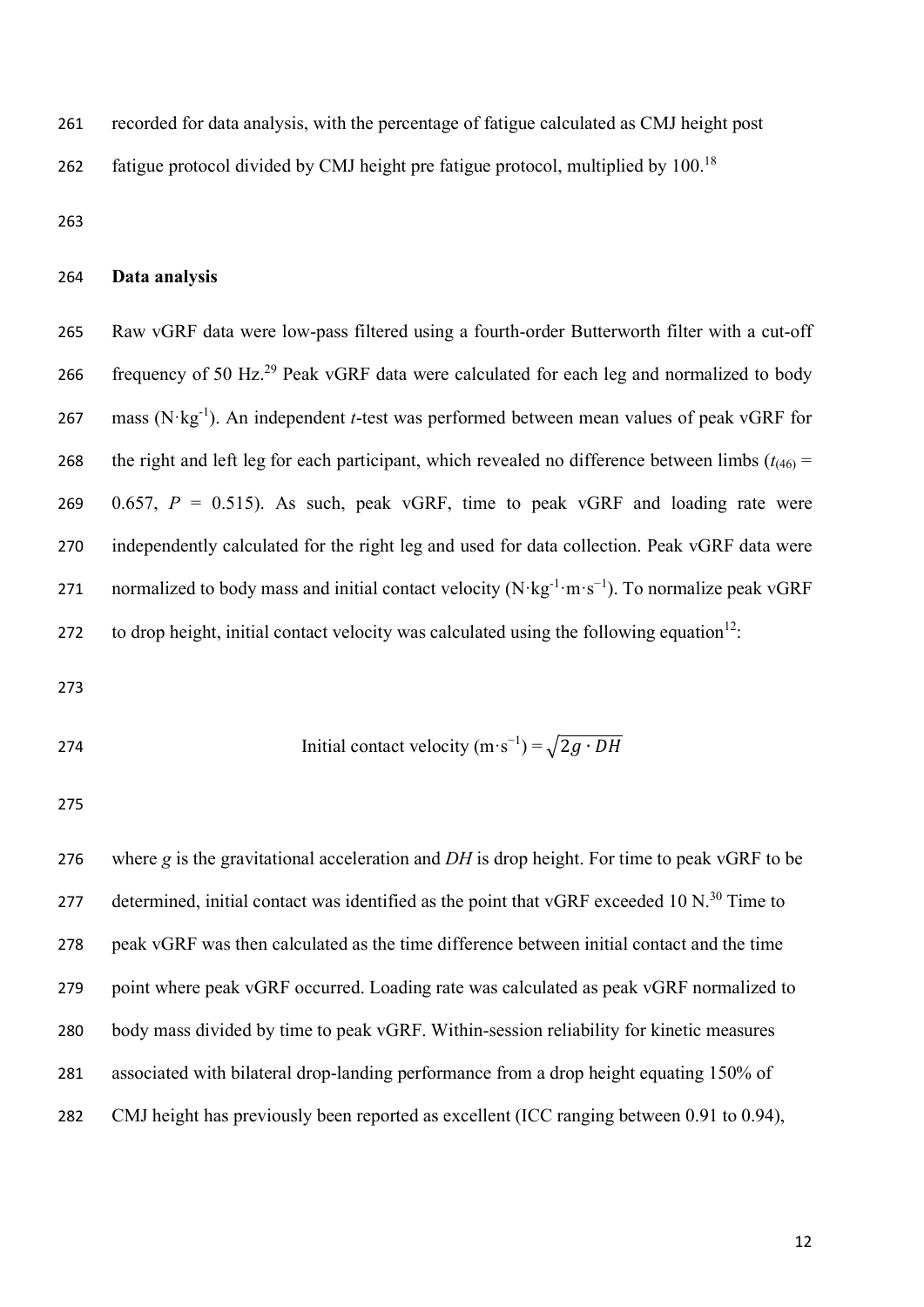recorded for data analysis, with the percentage of fatigue calculated as CMJ height post

262 fatigue protocol divided by CMJ height pre fatigue protocol, multiplied by  $100^{18}$ 

#### **Data analysis**

 Raw vGRF data were low-pass filtered using a fourth-order Butterworth filter with a cut-off 266 frequency of 50 Hz.<sup>29</sup> Peak vGRF data were calculated for each leg and normalized to body 267 mass  $(N \cdot kg^{-1})$ . An independent *t*-test was performed between mean values of peak vGRF for 268 the right and left leg for each participant, which revealed no difference between limbs  $(t_{(46)} =$ 269 0.657,  $P = 0.515$ ). As such, peak vGRF, time to peak vGRF and loading rate were independently calculated for the right leg and used for data collection. Peak vGRF data were 271 normalized to body mass and initial contact velocity (N·kg<sup>-1</sup>·m·s<sup>-1</sup>). To normalize peak vGRF 272 to drop height, initial contact velocity was calculated using the following equation<sup>12</sup>:

274  
Initial contact velocity 
$$
(m \cdot s^{-1}) = \sqrt{2g \cdot DH}
$$

 where *g* is the gravitational acceleration and *DH* is drop height. For time to peak vGRF to be 277 determined, initial contact was identified as the point that vGRF exceeded 10 N.<sup>30</sup> Time to peak vGRF was then calculated as the time difference between initial contact and the time point where peak vGRF occurred. Loading rate was calculated as peak vGRF normalized to body mass divided by time to peak vGRF. Within-session reliability for kinetic measures associated with bilateral drop-landing performance from a drop height equating 150% of CMJ height has previously been reported as excellent (ICC ranging between 0.91 to 0.94),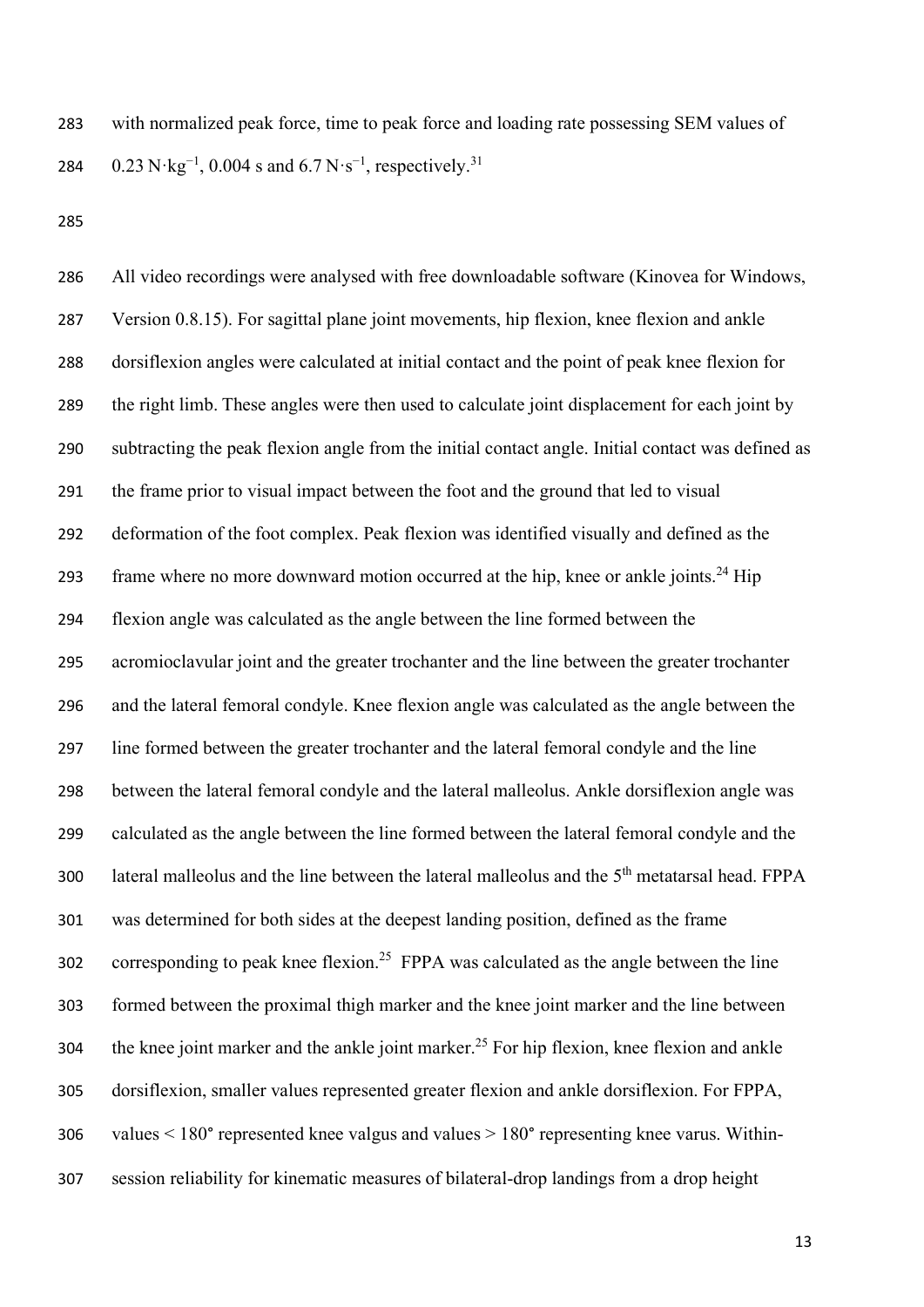with normalized peak force, time to peak force and loading rate possessing SEM values of 284 0.23 N·kg<sup>-1</sup>, 0.004 s and 6.7 N·s<sup>-1</sup>, respectively.<sup>31</sup>

 All video recordings were analysed with free downloadable software (Kinovea for Windows, Version 0.8.15). For sagittal plane joint movements, hip flexion, knee flexion and ankle dorsiflexion angles were calculated at initial contact and the point of peak knee flexion for the right limb. These angles were then used to calculate joint displacement for each joint by subtracting the peak flexion angle from the initial contact angle. Initial contact was defined as the frame prior to visual impact between the foot and the ground that led to visual deformation of the foot complex. Peak flexion was identified visually and defined as the 293 frame where no more downward motion occurred at the hip, knee or ankle joints.<sup>24</sup> Hip flexion angle was calculated as the angle between the line formed between the acromioclavular joint and the greater trochanter and the line between the greater trochanter and the lateral femoral condyle. Knee flexion angle was calculated as the angle between the line formed between the greater trochanter and the lateral femoral condyle and the line between the lateral femoral condyle and the lateral malleolus. Ankle dorsiflexion angle was calculated as the angle between the line formed between the lateral femoral condyle and the 300 lateral malleolus and the line between the lateral malleolus and the  $5<sup>th</sup>$  metatarsal head. FPPA was determined for both sides at the deepest landing position, defined as the frame 302 corresponding to peak knee flexion.<sup>25</sup> FPPA was calculated as the angle between the line formed between the proximal thigh marker and the knee joint marker and the line between 304 the knee joint marker and the ankle joint marker.<sup>25</sup> For hip flexion, knee flexion and ankle dorsiflexion, smaller values represented greater flexion and ankle dorsiflexion. For FPPA, values < 180° represented knee valgus and values > 180° representing knee varus. Within-session reliability for kinematic measures of bilateral-drop landings from a drop height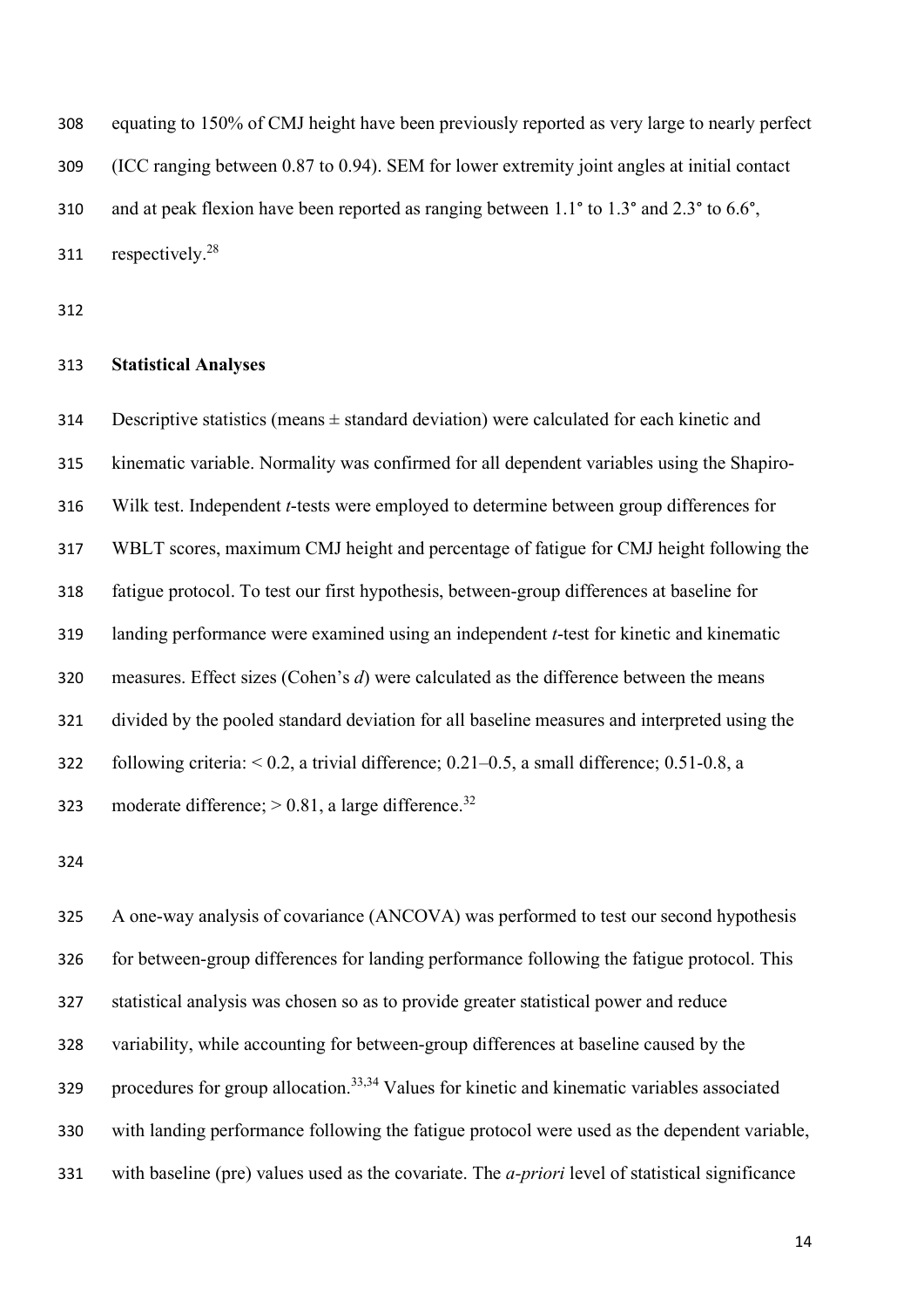equating to 150% of CMJ height have been previously reported as very large to nearly perfect (ICC ranging between 0.87 to 0.94). SEM for lower extremity joint angles at initial contact 310 and at peak flexion have been reported as ranging between 1.1° to 1.3° and 2.3° to 6.6°, 311 respectively.<sup>28</sup>

#### **Statistical Analyses**

314 Descriptive statistics (means  $\pm$  standard deviation) were calculated for each kinetic and kinematic variable. Normality was confirmed for all dependent variables using the Shapiro- Wilk test. Independent *t*-tests were employed to determine between group differences for WBLT scores, maximum CMJ height and percentage of fatigue for CMJ height following the fatigue protocol. To test our first hypothesis, between-group differences at baseline for landing performance were examined using an independent *t*-test for kinetic and kinematic measures. Effect sizes (Cohen's *d*) were calculated as the difference between the means divided by the pooled standard deviation for all baseline measures and interpreted using the following criteria: < 0.2, a trivial difference; 0.21–0.5, a small difference; 0.51-0.8, a 323 moderate difference;  $> 0.81$ , a large difference.<sup>32</sup>

 A one-way analysis of covariance (ANCOVA) was performed to test our second hypothesis for between-group differences for landing performance following the fatigue protocol. This statistical analysis was chosen so as to provide greater statistical power and reduce variability, while accounting for between-group differences at baseline caused by the procedures for group allocation.<sup>33,34</sup> Values for kinetic and kinematic variables associated with landing performance following the fatigue protocol were used as the dependent variable, with baseline (pre) values used as the covariate. The *a-priori* level of statistical significance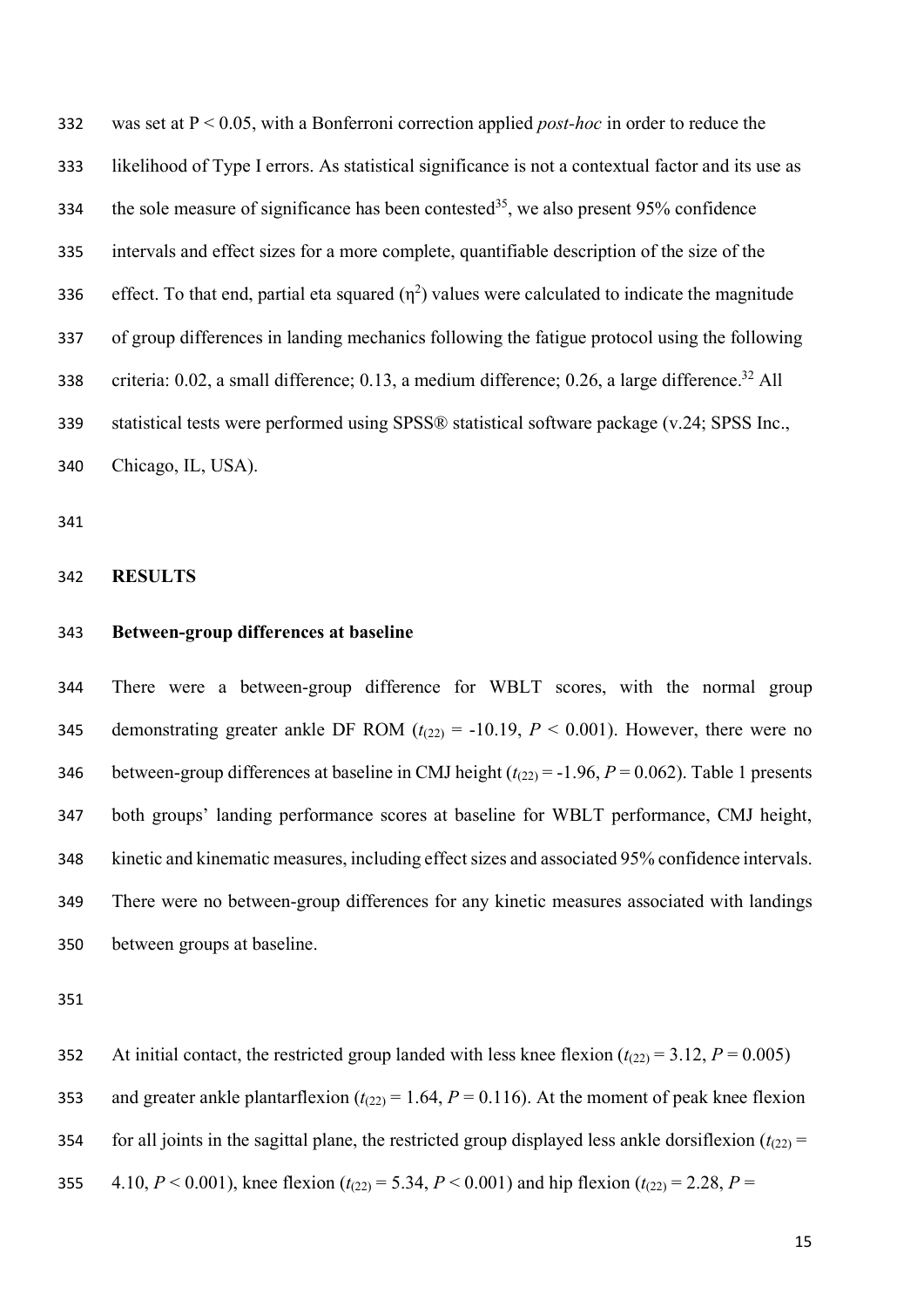was set at P < 0.05, with a Bonferroni correction applied *post-hoc* in order to reduce the likelihood of Type I errors. As statistical significance is not a contextual factor and its use as 334 the sole measure of significance has been contested<sup>35</sup>, we also present 95% confidence intervals and effect sizes for a more complete, quantifiable description of the size of the effect. To that end, partial eta squared  $(\eta^2)$  values were calculated to indicate the magnitude of group differences in landing mechanics following the fatigue protocol using the following 338 criteria:  $0.02$ , a small difference;  $0.13$ , a medium difference;  $0.26$ , a large difference.<sup>32</sup> All statistical tests were performed using SPSS® statistical software package (v.24; SPSS Inc., Chicago, IL, USA).

#### **RESULTS**

#### **Between-group differences at baseline**

 There were a between-group difference for WBLT scores, with the normal group 345 demonstrating greater ankle DF ROM  $(t_{(22)} = -10.19, P < 0.001)$ . However, there were no 346 between-group differences at baseline in CMJ height  $(t_{(22)} = -1.96, P = 0.062)$ . Table 1 presents both groups' landing performance scores at baseline for WBLT performance, CMJ height, kinetic and kinematic measures, including effect sizes and associated 95% confidence intervals. There were no between-group differences for any kinetic measures associated with landings between groups at baseline.

352 At initial contact, the restricted group landed with less knee flexion  $(t_{(22)} = 3.12, P = 0.005)$ 353 and greater ankle plantarflexion  $(t_{(22)} = 1.64, P = 0.116)$ . At the moment of peak knee flexion 354 for all joints in the sagittal plane, the restricted group displayed less ankle dorsiflexion  $(t_{(22)} =$ 355 4.10,  $P < 0.001$ ), knee flexion ( $t_{(22)} = 5.34$ ,  $P < 0.001$ ) and hip flexion ( $t_{(22)} = 2.28$ ,  $P =$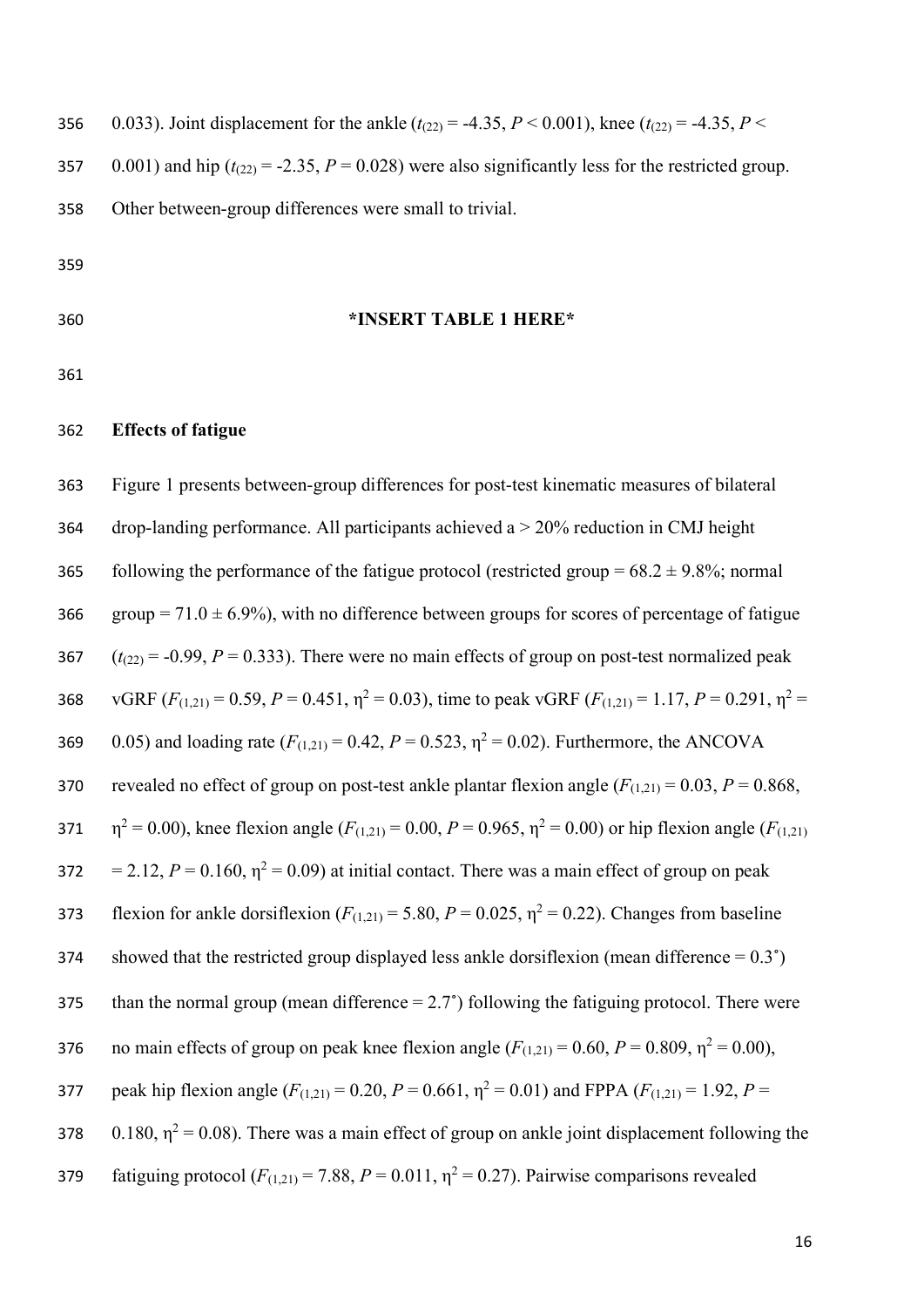356 0.033). Joint displacement for the ankle  $(t_{(22)} = -4.35, P \le 0.001)$ , knee  $(t_{(22)} = -4.35, P \le 0.001)$ 357 0.001) and hip ( $t_{(22)} = -2.35$ ,  $P = 0.028$ ) were also significantly less for the restricted group. 358 Other between-group differences were small to trivial. 359

360 **\*INSERT TABLE 1 HERE\*** 

361

#### 362 **Effects of fatigue**

363 Figure 1 presents between-group differences for post-test kinematic measures of bilateral 364 drop-landing performance. All participants achieved a > 20% reduction in CMJ height 365 following the performance of the fatigue protocol (restricted group =  $68.2 \pm 9.8\%$ ; normal 366 group =  $71.0 \pm 6.9\%$ ), with no difference between groups for scores of percentage of fatigue 367  $(t_{(22)} = -0.99, P = 0.333)$ . There were no main effects of group on post-test normalized peak 368 vGRF  $(F_{(1,21)} = 0.59, P = 0.451, \eta^2 = 0.03)$ , time to peak vGRF  $(F_{(1,21)} = 1.17, P = 0.291, \eta^2 = 0.391$ 369 0.05) and loading rate  $(F_{(1,21)} = 0.42, P = 0.523, \eta^2 = 0.02)$ . Furthermore, the ANCOVA 370 revealed no effect of group on post-test ankle plantar flexion angle  $(F_{(1,21)} = 0.03, P = 0.868, P$ 371  $\eta^2 = 0.00$ ), knee flexion angle ( $F_{(1,21)} = 0.00$ ,  $P = 0.965$ ,  $\eta^2 = 0.00$ ) or hip flexion angle ( $F_{(1,21)}$ )  $= 2.12$ ,  $P = 0.160$ ,  $\eta^2 = 0.09$ ) at initial contact. There was a main effect of group on peak flexion for ankle dorsiflexion  $(F_{(1,21)} = 5.80, P = 0.025, \eta^2 = 0.22)$ . Changes from baseline 374 showed that the restricted group displayed less ankle dorsiflexion (mean difference  $= 0.3^{\circ}$ ) 375 than the normal group (mean difference  $= 2.7^{\circ}$ ) following the fatiguing protocol. There were  $1376$  no main effects of group on peak knee flexion angle  $(F(1,2)) = 0.60$ ,  $P = 0.809$ ,  $η<sup>2</sup> = 0.00$ ), 377 peak hip flexion angle  $(F_{(1,21)} = 0.20, P = 0.661, \eta^2 = 0.01)$  and FPPA  $(F_{(1,21)} = 1.92, P =$ 378  $0.180$ ,  $\eta^2 = 0.08$ ). There was a main effect of group on ankle joint displacement following the 379 fatiguing protocol  $(F_{(1,21)} = 7.88, P = 0.011, \eta^2 = 0.27)$ . Pairwise comparisons revealed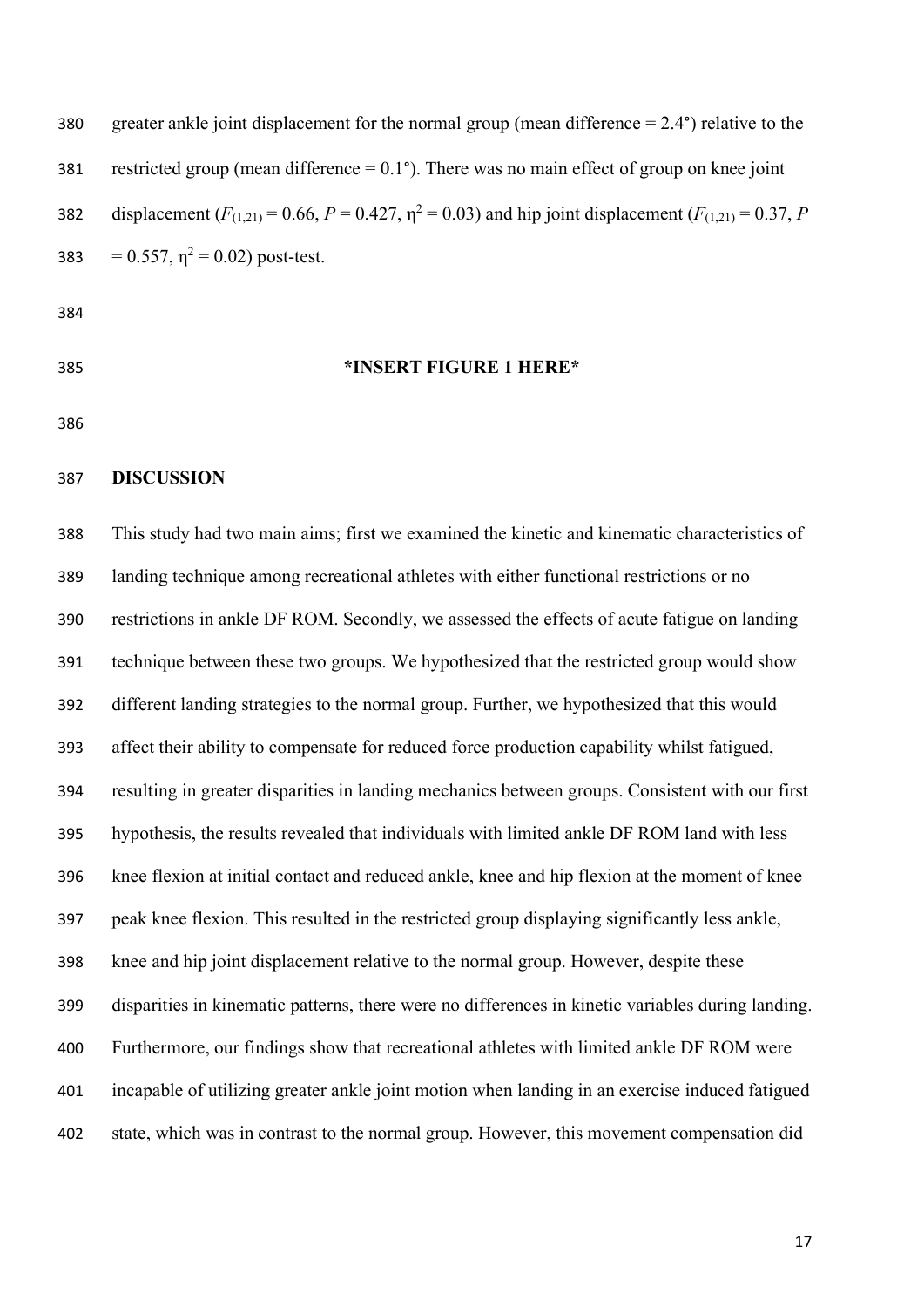380 greater ankle joint displacement for the normal group (mean difference  $= 2.4^{\circ}$ ) relative to the 381 restricted group (mean difference  $= 0.1^{\circ}$ ). There was no main effect of group on knee joint displacement  $(F_{(1,21)} = 0.66, P = 0.427, \eta^2 = 0.03)$  and hip joint displacement  $(F_{(1,21)} = 0.37, P$ 383 =  $0.557$ ,  $\eta^2 = 0.02$ ) post-test.

- 
- 

#### **\*INSERT FIGURE 1 HERE\***

#### **DISCUSSION**

 This study had two main aims; first we examined the kinetic and kinematic characteristics of landing technique among recreational athletes with either functional restrictions or no restrictions in ankle DF ROM. Secondly, we assessed the effects of acute fatigue on landing technique between these two groups. We hypothesized that the restricted group would show different landing strategies to the normal group. Further, we hypothesized that this would affect their ability to compensate for reduced force production capability whilst fatigued, resulting in greater disparities in landing mechanics between groups. Consistent with our first hypothesis, the results revealed that individuals with limited ankle DF ROM land with less knee flexion at initial contact and reduced ankle, knee and hip flexion at the moment of knee peak knee flexion. This resulted in the restricted group displaying significantly less ankle, knee and hip joint displacement relative to the normal group. However, despite these disparities in kinematic patterns, there were no differences in kinetic variables during landing. Furthermore, our findings show that recreational athletes with limited ankle DF ROM were incapable of utilizing greater ankle joint motion when landing in an exercise induced fatigued state, which was in contrast to the normal group. However, this movement compensation did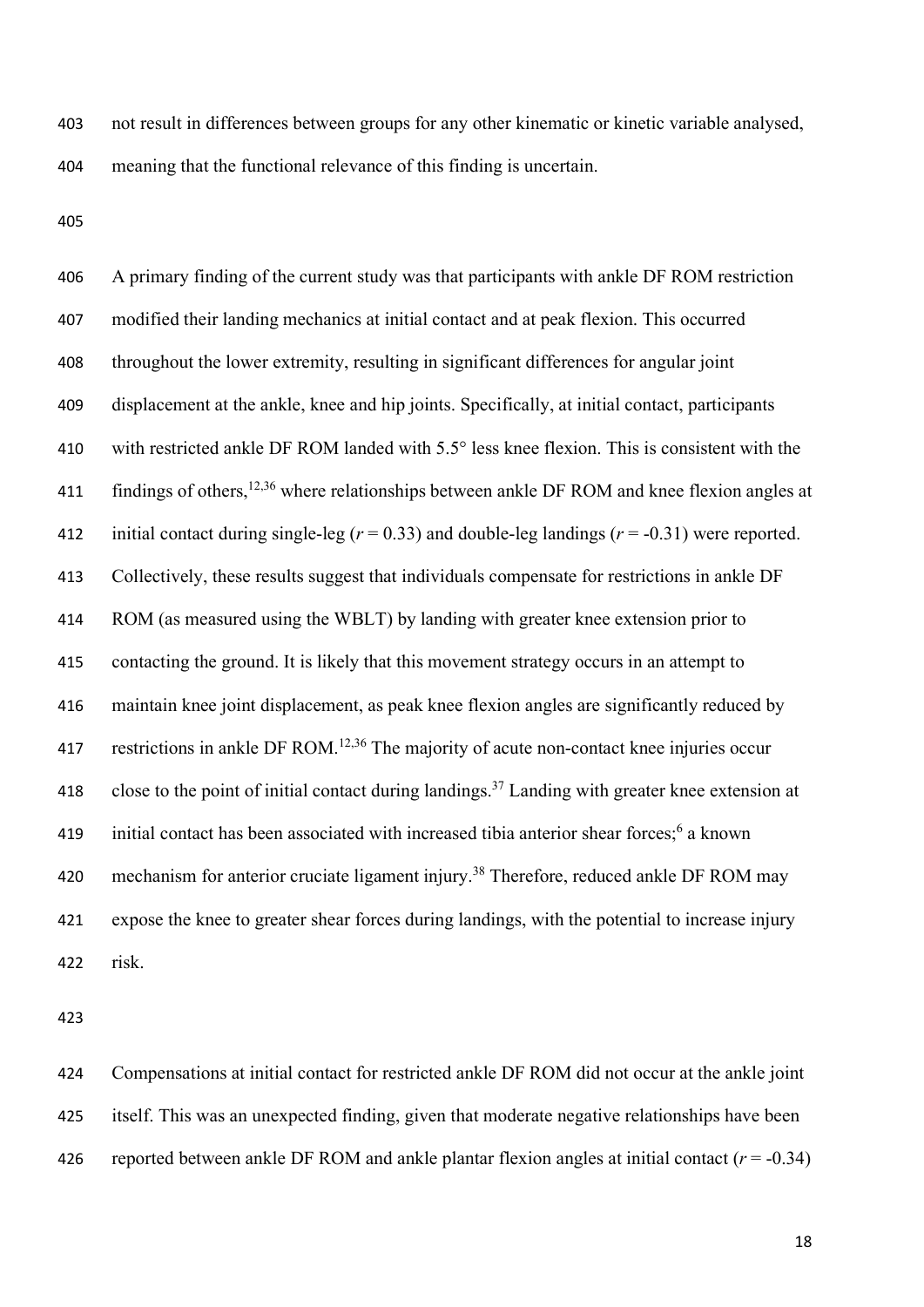not result in differences between groups for any other kinematic or kinetic variable analysed, meaning that the functional relevance of this finding is uncertain.

 A primary finding of the current study was that participants with ankle DF ROM restriction modified their landing mechanics at initial contact and at peak flexion. This occurred throughout the lower extremity, resulting in significant differences for angular joint displacement at the ankle, knee and hip joints. Specifically, at initial contact, participants with restricted ankle DF ROM landed with 5.5° less knee flexion. This is consistent with the 411 findings of others,  $12,36$  where relationships between ankle DF ROM and knee flexion angles at initial contact during single-leg (*r* = 0.33) and double-leg landings (*r* = -0.31) were reported. Collectively, these results suggest that individuals compensate for restrictions in ankle DF ROM (as measured using the WBLT) by landing with greater knee extension prior to contacting the ground. It is likely that this movement strategy occurs in an attempt to maintain knee joint displacement, as peak knee flexion angles are significantly reduced by 417 restrictions in ankle DF ROM.<sup>12,36</sup> The majority of acute non-contact knee injuries occur 418 close to the point of initial contact during landings.<sup>37</sup> Landing with greater knee extension at 419 initial contact has been associated with increased tibia anterior shear forces; a known 420 mechanism for anterior cruciate ligament injury.<sup>38</sup> Therefore, reduced ankle DF ROM may expose the knee to greater shear forces during landings, with the potential to increase injury risk.

 Compensations at initial contact for restricted ankle DF ROM did not occur at the ankle joint itself. This was an unexpected finding, given that moderate negative relationships have been 426 reported between ankle DF ROM and ankle plantar flexion angles at initial contact  $(r = -0.34)$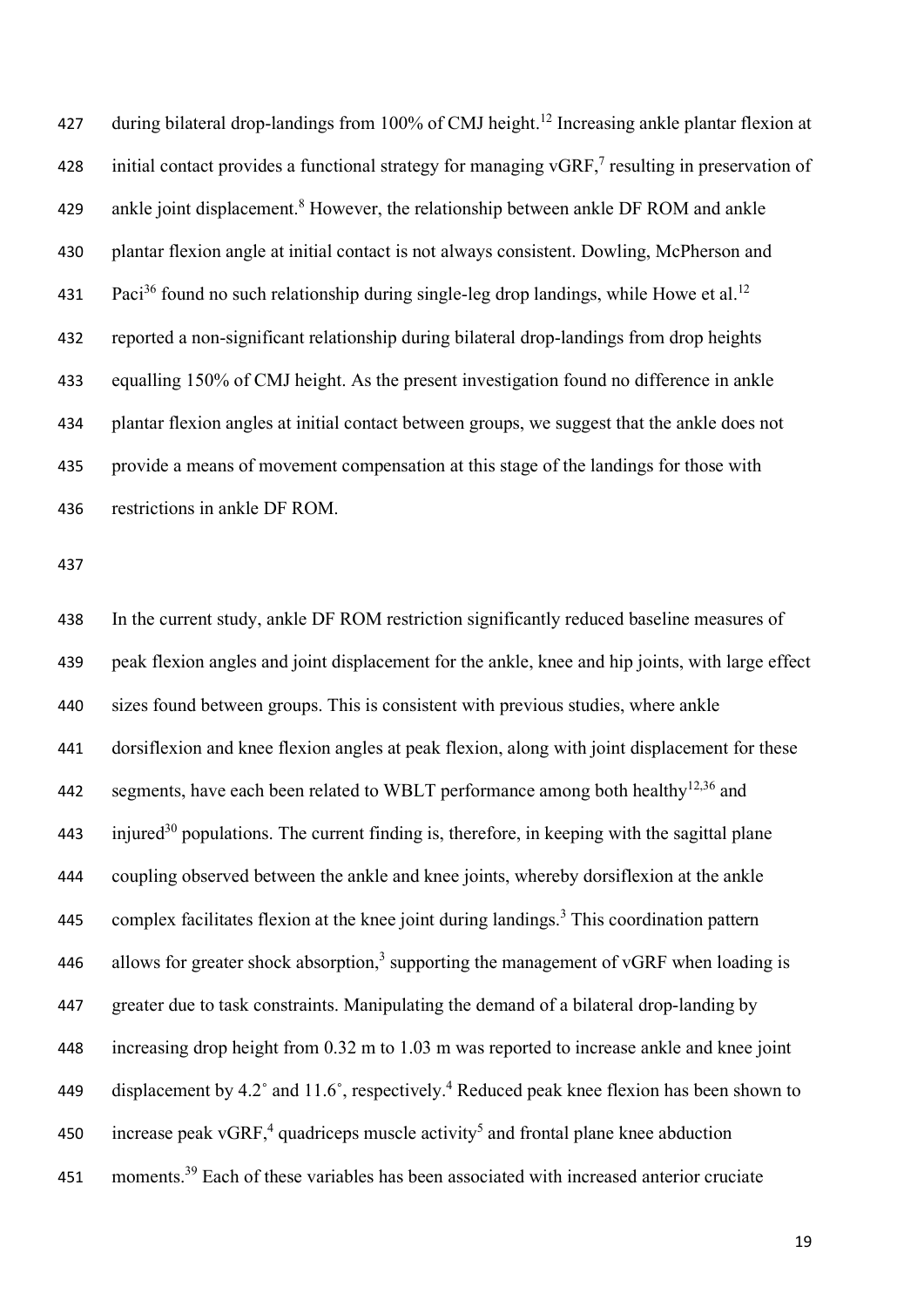427 during bilateral drop-landings from 100% of CMJ height.<sup>12</sup> Increasing ankle plantar flexion at 428 initial contact provides a functional strategy for managing  $\sqrt{GRF}$ , resulting in preservation of 429 ankle joint displacement.<sup>8</sup> However, the relationship between ankle DF ROM and ankle plantar flexion angle at initial contact is not always consistent. Dowling, McPherson and 431 Paci<sup>36</sup> found no such relationship during single-leg drop landings, while Howe et al.<sup>12</sup> reported a non-significant relationship during bilateral drop-landings from drop heights equalling 150% of CMJ height. As the present investigation found no difference in ankle plantar flexion angles at initial contact between groups, we suggest that the ankle does not provide a means of movement compensation at this stage of the landings for those with restrictions in ankle DF ROM.

 In the current study, ankle DF ROM restriction significantly reduced baseline measures of peak flexion angles and joint displacement for the ankle, knee and hip joints, with large effect sizes found between groups. This is consistent with previous studies, where ankle dorsiflexion and knee flexion angles at peak flexion, along with joint displacement for these 442 segments, have each been related to WBLT performance among both healthy<sup>12,36</sup> and injured<sup>30</sup> populations. The current finding is, therefore, in keeping with the sagittal plane coupling observed between the ankle and knee joints, whereby dorsiflexion at the ankle 445 complex facilitates flexion at the knee joint during landings.<sup>3</sup> This coordination pattern 446 allows for greater shock absorption,<sup>3</sup> supporting the management of vGRF when loading is greater due to task constraints. Manipulating the demand of a bilateral drop-landing by increasing drop height from 0.32 m to 1.03 m was reported to increase ankle and knee joint 449 displacement by 4.2° and 11.6°, respectively.<sup>4</sup> Reduced peak knee flexion has been shown to 450 increase peak vGRF,<sup>4</sup> quadriceps muscle activity<sup>5</sup> and frontal plane knee abduction 451 moments.<sup>39</sup> Each of these variables has been associated with increased anterior cruciate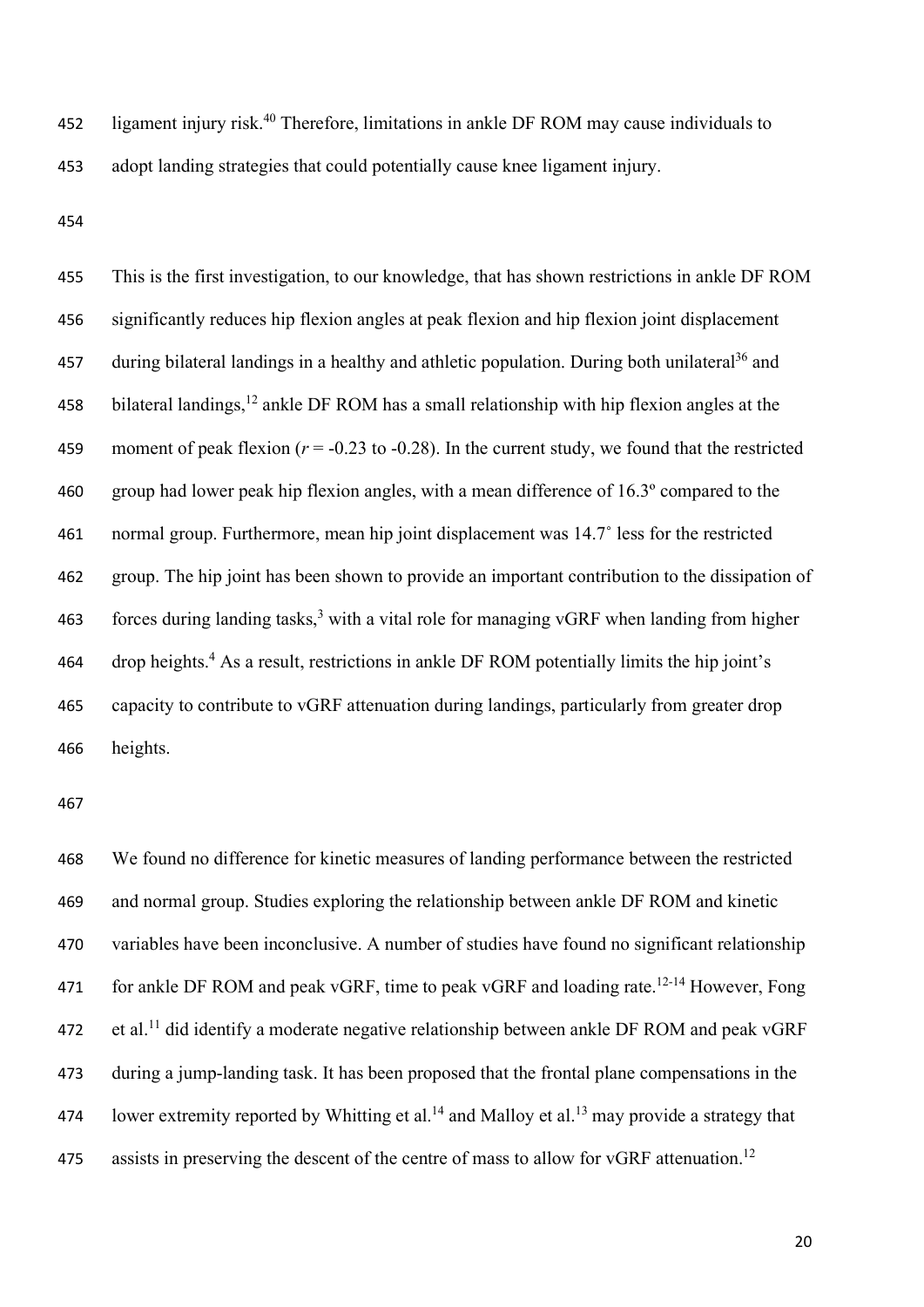452 ligament injury risk.<sup>40</sup> Therefore, limitations in ankle DF ROM may cause individuals to adopt landing strategies that could potentially cause knee ligament injury.

 This is the first investigation, to our knowledge, that has shown restrictions in ankle DF ROM significantly reduces hip flexion angles at peak flexion and hip flexion joint displacement 457 during bilateral landings in a healthy and athletic population. During both unilateral<sup>36</sup> and 458 bilateral landings, ankle DF ROM has a small relationship with hip flexion angles at the 459 moment of peak flexion  $(r = -0.23 \text{ to } -0.28)$ . In the current study, we found that the restricted group had lower peak hip flexion angles, with a mean difference of 16.3º compared to the normal group. Furthermore, mean hip joint displacement was 14.7˚ less for the restricted group. The hip joint has been shown to provide an important contribution to the dissipation of 463 forces during landing tasks,<sup>3</sup> with a vital role for managing vGRF when landing from higher drop heights.<sup>4</sup> As a result, restrictions in ankle DF ROM potentially limits the hip joint's capacity to contribute to vGRF attenuation during landings, particularly from greater drop heights.

 We found no difference for kinetic measures of landing performance between the restricted and normal group. Studies exploring the relationship between ankle DF ROM and kinetic variables have been inconclusive. A number of studies have found no significant relationship 471 for ankle DF ROM and peak vGRF, time to peak vGRF and loading rate.<sup>12-14</sup> However, Fong et al.<sup>11</sup> did identify a moderate negative relationship between ankle DF ROM and peak vGRF during a jump-landing task. It has been proposed that the frontal plane compensations in the 474 lower extremity reported by Whitting et al.<sup>14</sup> and Malloy et al.<sup>13</sup> may provide a strategy that 475 assists in preserving the descent of the centre of mass to allow for vGRF attenuation.<sup>12</sup>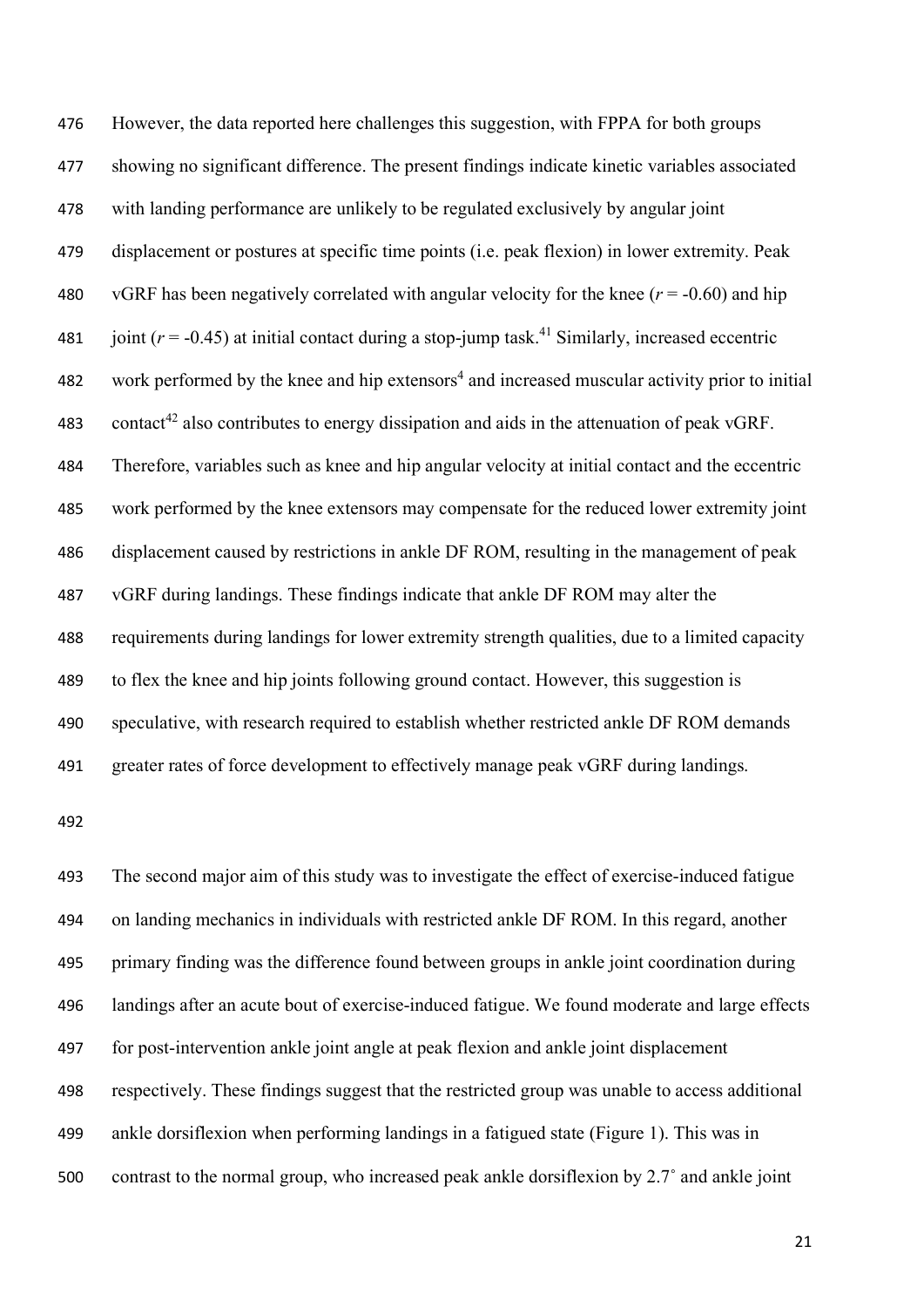However, the data reported here challenges this suggestion, with FPPA for both groups showing no significant difference. The present findings indicate kinetic variables associated with landing performance are unlikely to be regulated exclusively by angular joint displacement or postures at specific time points (i.e. peak flexion) in lower extremity. Peak 480 vGRF has been negatively correlated with angular velocity for the knee  $(r = -0.60)$  and hip 481 joint  $(r = -0.45)$  at initial contact during a stop-jump task.<sup>41</sup> Similarly, increased eccentric 482 work performed by the knee and hip extensors<sup>4</sup> and increased muscular activity prior to initial 483 contact<sup>42</sup> also contributes to energy dissipation and aids in the attenuation of peak vGRF. Therefore, variables such as knee and hip angular velocity at initial contact and the eccentric work performed by the knee extensors may compensate for the reduced lower extremity joint displacement caused by restrictions in ankle DF ROM, resulting in the management of peak vGRF during landings. These findings indicate that ankle DF ROM may alter the requirements during landings for lower extremity strength qualities, due to a limited capacity to flex the knee and hip joints following ground contact. However, this suggestion is speculative, with research required to establish whether restricted ankle DF ROM demands greater rates of force development to effectively manage peak vGRF during landings.

 The second major aim of this study was to investigate the effect of exercise-induced fatigue on landing mechanics in individuals with restricted ankle DF ROM. In this regard, another primary finding was the difference found between groups in ankle joint coordination during landings after an acute bout of exercise-induced fatigue. We found moderate and large effects for post-intervention ankle joint angle at peak flexion and ankle joint displacement respectively. These findings suggest that the restricted group was unable to access additional ankle dorsiflexion when performing landings in a fatigued state (Figure 1). This was in contrast to the normal group, who increased peak ankle dorsiflexion by 2.7˚ and ankle joint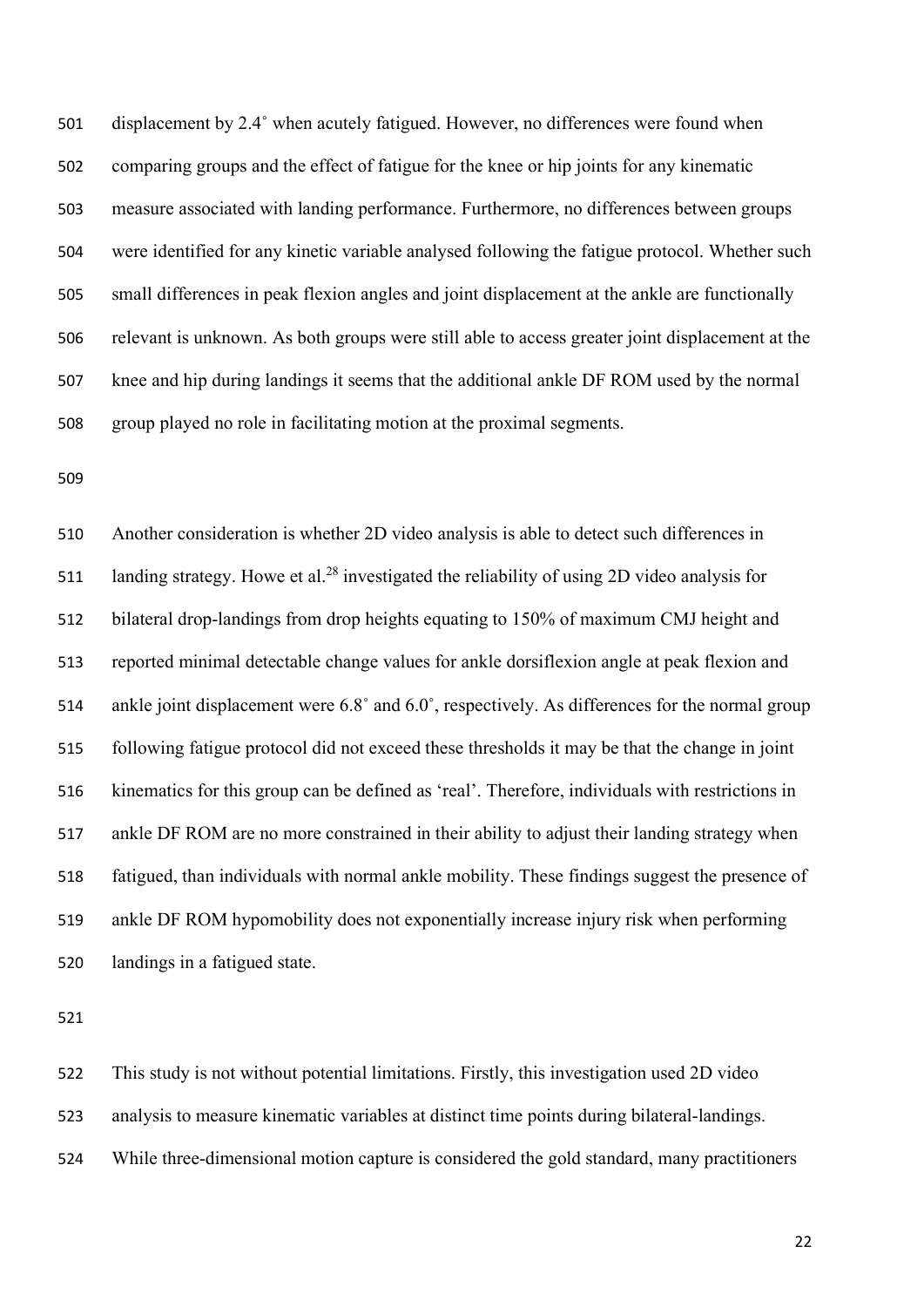displacement by 2.4˚ when acutely fatigued. However, no differences were found when comparing groups and the effect of fatigue for the knee or hip joints for any kinematic measure associated with landing performance. Furthermore, no differences between groups were identified for any kinetic variable analysed following the fatigue protocol. Whether such small differences in peak flexion angles and joint displacement at the ankle are functionally relevant is unknown. As both groups were still able to access greater joint displacement at the knee and hip during landings it seems that the additional ankle DF ROM used by the normal group played no role in facilitating motion at the proximal segments.

 Another consideration is whether 2D video analysis is able to detect such differences in 511 landing strategy. Howe et al.<sup>28</sup> investigated the reliability of using 2D video analysis for bilateral drop-landings from drop heights equating to 150% of maximum CMJ height and reported minimal detectable change values for ankle dorsiflexion angle at peak flexion and ankle joint displacement were 6.8˚ and 6.0˚, respectively. As differences for the normal group following fatigue protocol did not exceed these thresholds it may be that the change in joint kinematics for this group can be defined as 'real'. Therefore, individuals with restrictions in ankle DF ROM are no more constrained in their ability to adjust their landing strategy when fatigued, than individuals with normal ankle mobility. These findings suggest the presence of ankle DF ROM hypomobility does not exponentially increase injury risk when performing landings in a fatigued state.

 This study is not without potential limitations. Firstly, this investigation used 2D video analysis to measure kinematic variables at distinct time points during bilateral-landings. While three-dimensional motion capture is considered the gold standard, many practitioners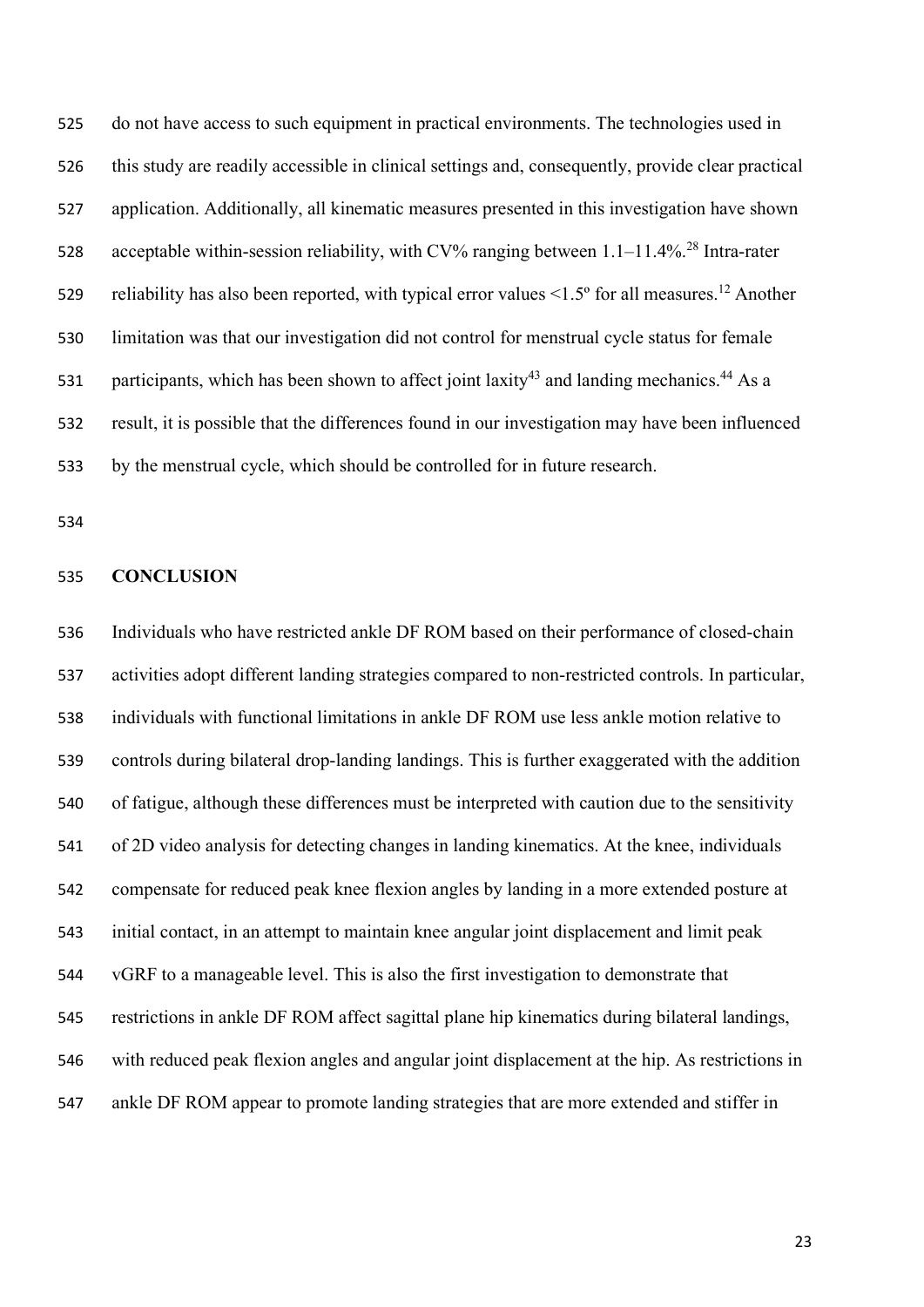do not have access to such equipment in practical environments. The technologies used in this study are readily accessible in clinical settings and, consequently, provide clear practical application. Additionally, all kinematic measures presented in this investigation have shown 528 acceptable within-session reliability, with CV% ranging between  $1.1-11.4\%$ <sup>28</sup> Intra-rater 529 reliability has also been reported, with typical error values  $\leq 1.5^\circ$  for all measures.<sup>12</sup> Another limitation was that our investigation did not control for menstrual cycle status for female 531 participants, which has been shown to affect joint laxity and landing mechanics.  $44$  As a result, it is possible that the differences found in our investigation may have been influenced by the menstrual cycle, which should be controlled for in future research.

### **CONCLUSION**

 Individuals who have restricted ankle DF ROM based on their performance of closed-chain activities adopt different landing strategies compared to non-restricted controls. In particular, individuals with functional limitations in ankle DF ROM use less ankle motion relative to controls during bilateral drop-landing landings. This is further exaggerated with the addition of fatigue, although these differences must be interpreted with caution due to the sensitivity of 2D video analysis for detecting changes in landing kinematics. At the knee, individuals compensate for reduced peak knee flexion angles by landing in a more extended posture at initial contact, in an attempt to maintain knee angular joint displacement and limit peak vGRF to a manageable level. This is also the first investigation to demonstrate that restrictions in ankle DF ROM affect sagittal plane hip kinematics during bilateral landings, with reduced peak flexion angles and angular joint displacement at the hip. As restrictions in ankle DF ROM appear to promote landing strategies that are more extended and stiffer in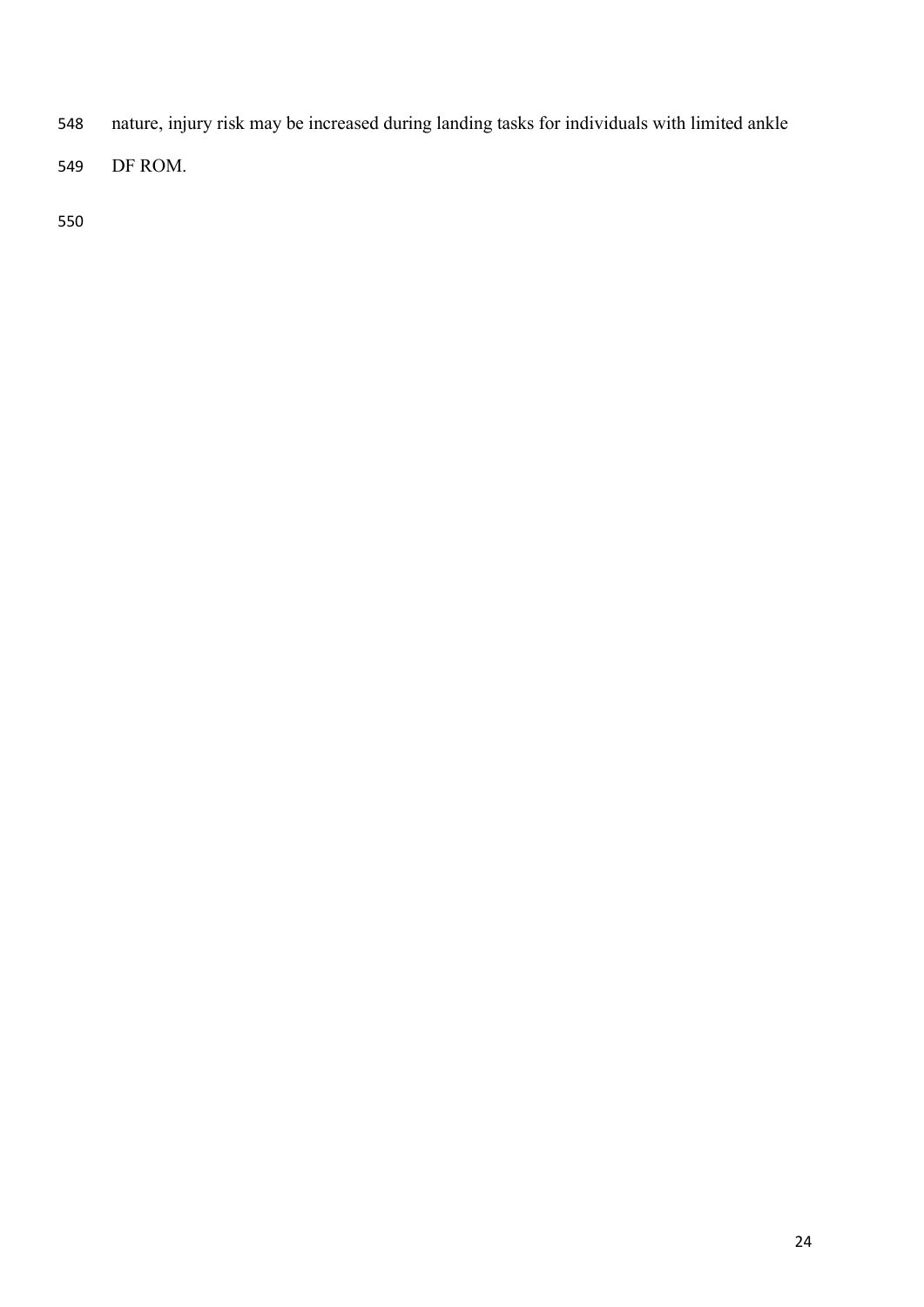- nature, injury risk may be increased during landing tasks for individuals with limited ankle
- DF ROM.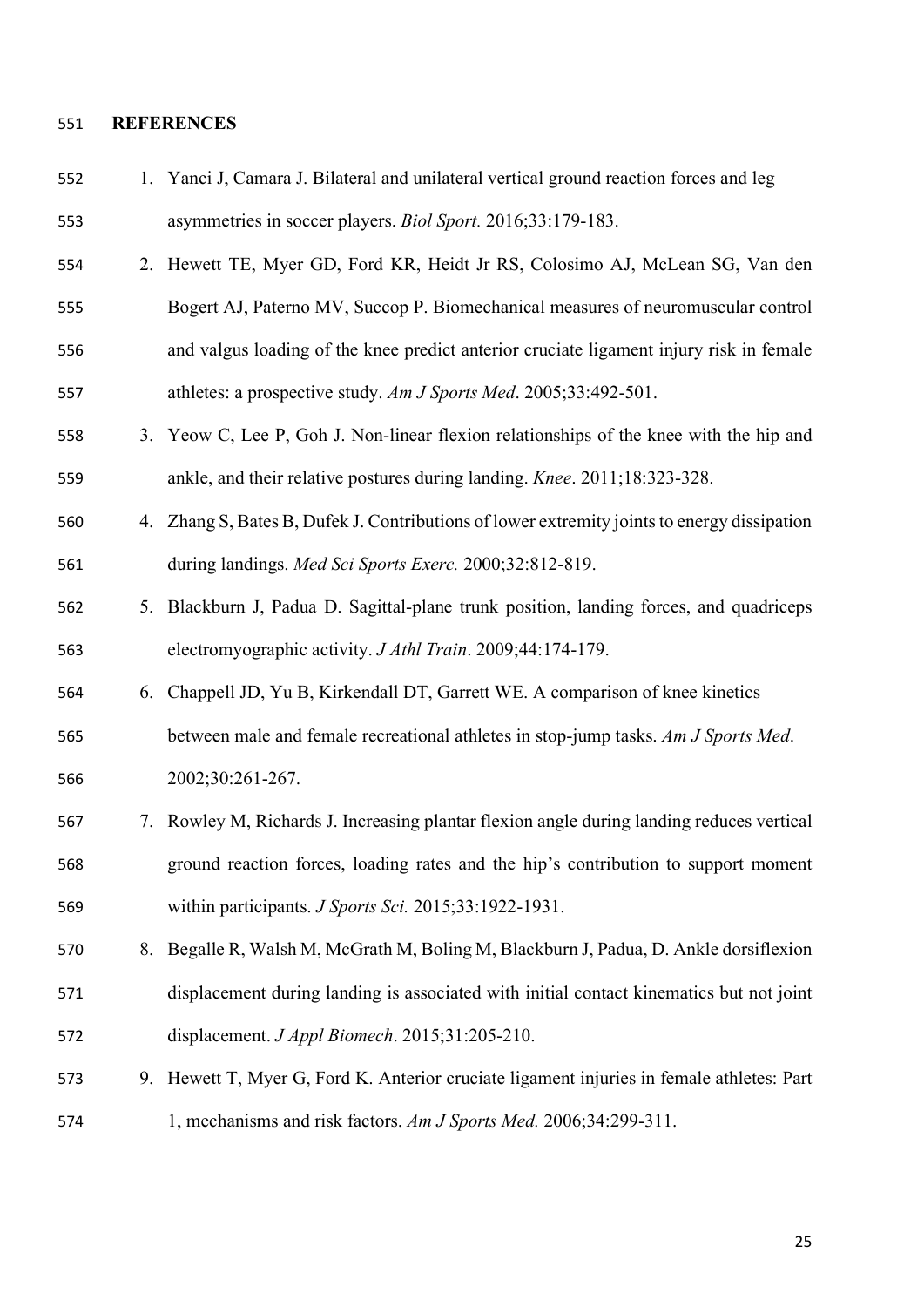#### **REFERENCES**

- 1. Yanci J, Camara J. Bilateral and unilateral vertical ground reaction forces and leg asymmetries in soccer players. *Biol Sport.* 2016;33:179-183.
- 2. Hewett TE, Myer GD, Ford KR, Heidt Jr RS, Colosimo AJ, McLean SG, Van den
- Bogert AJ, Paterno MV, Succop P. Biomechanical measures of neuromuscular control and valgus loading of the knee predict anterior cruciate ligament injury risk in female athletes: a prospective study. *Am J Sports Med*. 2005;33:492-501.
- 3. Yeow C, Lee P, Goh J. Non-linear flexion relationships of the knee with the hip and ankle, and their relative postures during landing. *Knee*. 2011;18:323-328.
- 4. Zhang S, Bates B, Dufek J. Contributions of lower extremity joints to energy dissipation during landings. *Med Sci Sports Exerc.* 2000;32:812-819.
- 5. Blackburn J, Padua D. Sagittal-plane trunk position, landing forces, and quadriceps electromyographic activity. *J Athl Train*. 2009;44:174-179.
- 6. Chappell JD, Yu B, Kirkendall DT, Garrett WE. A comparison of knee kinetics
- between male and female recreational athletes in stop-jump tasks. *Am J Sports Med*. 2002;30:261-267.
- 7. Rowley M, Richards J. Increasing plantar flexion angle during landing reduces vertical ground reaction forces, loading rates and the hip's contribution to support moment within participants. *J Sports Sci.* 2015;33:1922-1931.
- 8. Begalle R, Walsh M, McGrath M, Boling M, Blackburn J, Padua, D. Ankle dorsiflexion displacement during landing is associated with initial contact kinematics but not joint displacement. *J Appl Biomech*. 2015;31:205-210.
- 9. Hewett T, Myer G, Ford K. Anterior cruciate ligament injuries in female athletes: Part 1, mechanisms and risk factors. *Am J Sports Med.* 2006;34:299-311.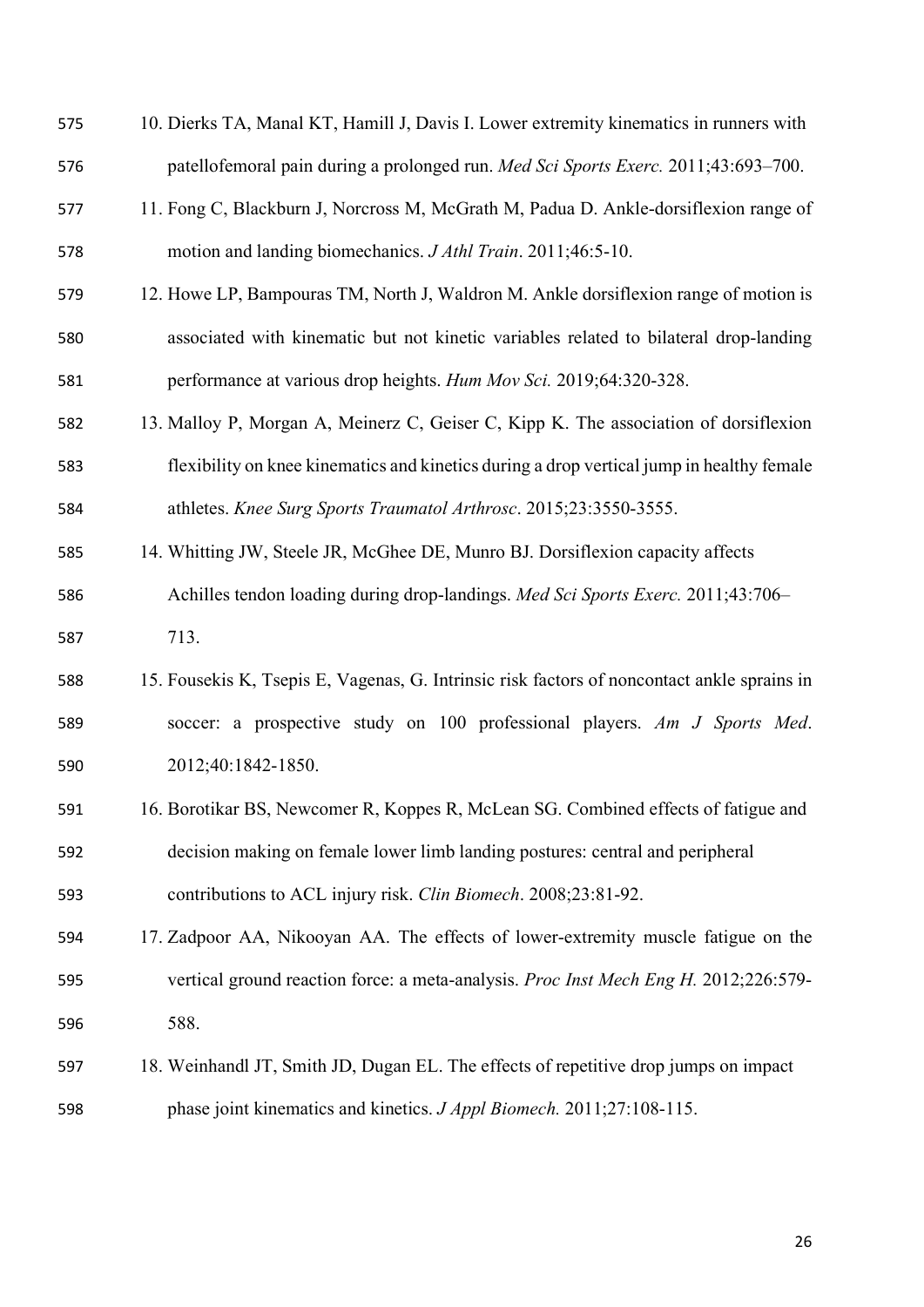| 575 | 10. Dierks TA, Manal KT, Hamill J, Davis I. Lower extremity kinematics in runners with      |
|-----|---------------------------------------------------------------------------------------------|
| 576 | patellofemoral pain during a prolonged run. Med Sci Sports Exerc. 2011;43:693-700.          |
| 577 | 11. Fong C, Blackburn J, Norcross M, McGrath M, Padua D. Ankle-dorsiflexion range of        |
| 578 | motion and landing biomechanics. <i>J Athl Train</i> . 2011;46:5-10.                        |
| 579 | 12. Howe LP, Bampouras TM, North J, Waldron M. Ankle dorsiflexion range of motion is        |
| 580 | associated with kinematic but not kinetic variables related to bilateral drop-landing       |
| 581 | performance at various drop heights. Hum Mov Sci. 2019;64:320-328.                          |
| 582 | 13. Malloy P, Morgan A, Meinerz C, Geiser C, Kipp K. The association of dorsiflexion        |
| 583 | flexibility on knee kinematics and kinetics during a drop vertical jump in healthy female   |
| 584 | athletes. Knee Surg Sports Traumatol Arthrosc. 2015;23:3550-3555.                           |
| 585 | 14. Whitting JW, Steele JR, McGhee DE, Munro BJ. Dorsiflexion capacity affects              |
| 586 | Achilles tendon loading during drop-landings. Med Sci Sports Exerc. 2011;43:706-            |
| 587 | 713.                                                                                        |
| 588 | 15. Fousekis K, Tsepis E, Vagenas, G. Intrinsic risk factors of noncontact ankle sprains in |
| 589 | soccer: a prospective study on 100 professional players. Am J Sports Med.                   |
| 590 | 2012;40:1842-1850.                                                                          |
| 591 | 16. Borotikar BS, Newcomer R, Koppes R, McLean SG. Combined effects of fatigue and          |
| 592 | decision making on female lower limb landing postures: central and peripheral               |
| 593 | contributions to ACL injury risk. Clin Biomech. 2008;23:81-92.                              |
| 594 | 17. Zadpoor AA, Nikooyan AA. The effects of lower-extremity muscle fatigue on the           |
| 595 | vertical ground reaction force: a meta-analysis. Proc Inst Mech Eng H. 2012;226:579-        |
| 596 | 588.                                                                                        |
| 597 | 18. Weinhandl JT, Smith JD, Dugan EL. The effects of repetitive drop jumps on impact        |
|     |                                                                                             |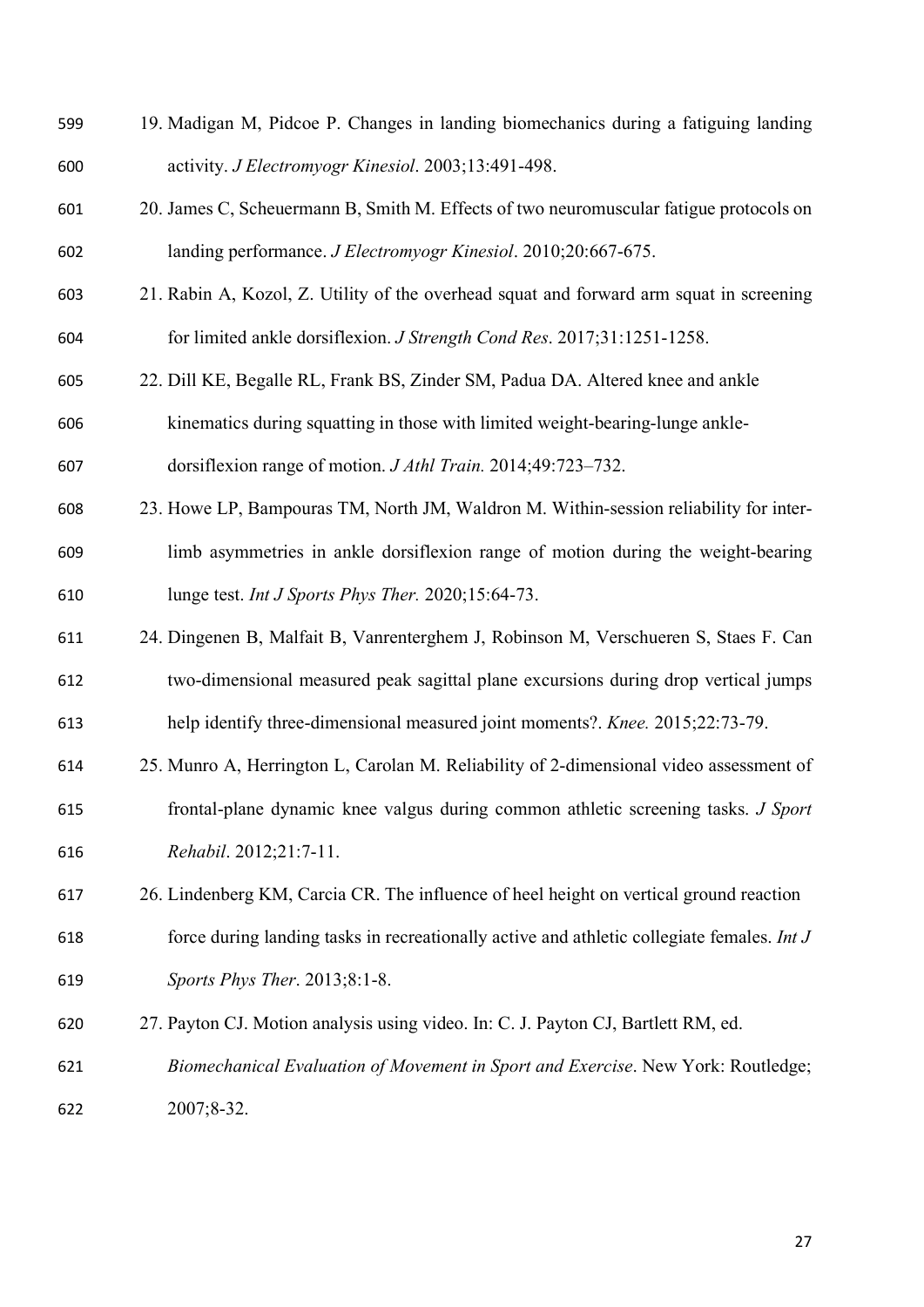| 599 | 19. Madigan M, Pidcoe P. Changes in landing biomechanics during a fatiguing landing        |
|-----|--------------------------------------------------------------------------------------------|
| 600 | activity. J Electromyogr Kinesiol. 2003;13:491-498.                                        |
| 601 | 20. James C, Scheuermann B, Smith M. Effects of two neuromuscular fatigue protocols on     |
| 602 | landing performance. J Electromyogr Kinesiol. 2010;20:667-675.                             |
| 603 | 21. Rabin A, Kozol, Z. Utility of the overhead squat and forward arm squat in screening    |
| 604 | for limited ankle dorsiflexion. <i>J Strength Cond Res.</i> 2017;31:1251-1258.             |
| 605 | 22. Dill KE, Begalle RL, Frank BS, Zinder SM, Padua DA. Altered knee and ankle             |
| 606 | kinematics during squatting in those with limited weight-bearing-lunge ankle-              |
| 607 | dorsiflexion range of motion. <i>J Athl Train</i> . 2014;49:723-732.                       |
| 608 | 23. Howe LP, Bampouras TM, North JM, Waldron M. Within-session reliability for inter-      |
| 609 | limb asymmetries in ankle dorsiflexion range of motion during the weight-bearing           |
| 610 | lunge test. Int J Sports Phys Ther. 2020;15:64-73.                                         |
| 611 | 24. Dingenen B, Malfait B, Vanrenterghem J, Robinson M, Verschueren S, Staes F. Can        |
| 612 | two-dimensional measured peak sagittal plane excursions during drop vertical jumps         |
| 613 | help identify three-dimensional measured joint moments?. Knee. 2015;22:73-79.              |
| 614 | 25. Munro A, Herrington L, Carolan M. Reliability of 2-dimensional video assessment of     |
| 615 | frontal-plane dynamic knee valgus during common athletic screening tasks. J Sport          |
| 616 | Rehabil. 2012;21:7-11.                                                                     |
| 617 | 26. Lindenberg KM, Carcia CR. The influence of heel height on vertical ground reaction     |
| 618 | force during landing tasks in recreationally active and athletic collegiate females. Int J |
| 619 | Sports Phys Ther. 2013;8:1-8.                                                              |
| 620 | 27. Payton CJ. Motion analysis using video. In: C. J. Payton CJ, Bartlett RM, ed.          |
| 621 | Biomechanical Evaluation of Movement in Sport and Exercise. New York: Routledge;           |
| 622 | 2007;8-32.                                                                                 |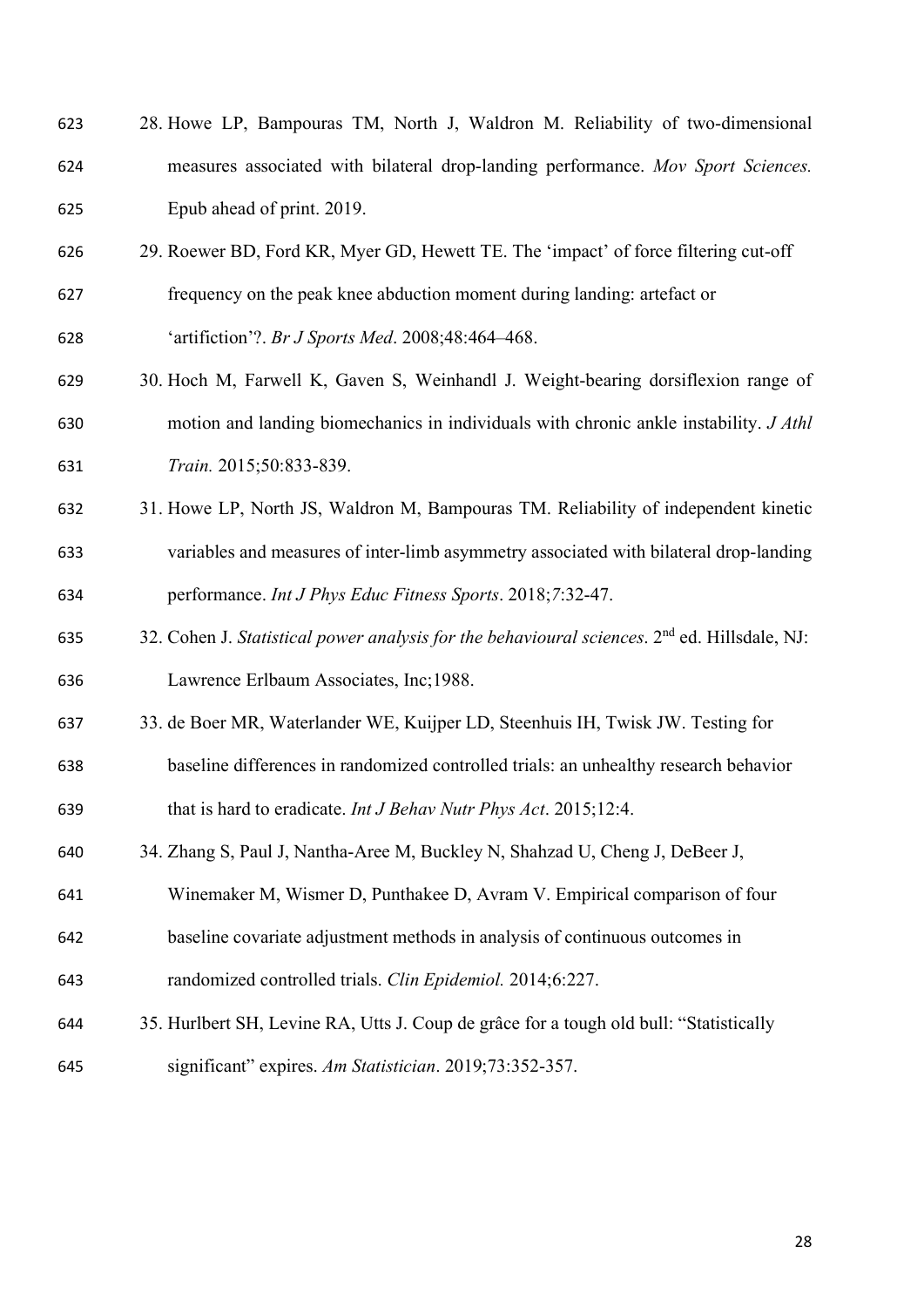| 623 | 28. Howe LP, Bampouras TM, North J, Waldron M. Reliability of two-dimensional                            |
|-----|----------------------------------------------------------------------------------------------------------|
| 624 | measures associated with bilateral drop-landing performance. Mov Sport Sciences.                         |
| 625 | Epub ahead of print. 2019.                                                                               |
| 626 | 29. Roewer BD, Ford KR, Myer GD, Hewett TE. The 'impact' of force filtering cut-off                      |
| 627 | frequency on the peak knee abduction moment during landing: artefact or                                  |
| 628 | 'artifiction'?. Br J Sports Med. 2008;48:464-468.                                                        |
| 629 | 30. Hoch M, Farwell K, Gaven S, Weinhandl J. Weight-bearing dorsiflexion range of                        |
| 630 | motion and landing biomechanics in individuals with chronic ankle instability. J Athl                    |
| 631 | Train. 2015;50:833-839.                                                                                  |
| 632 | 31. Howe LP, North JS, Waldron M, Bampouras TM. Reliability of independent kinetic                       |
| 633 | variables and measures of inter-limb asymmetry associated with bilateral drop-landing                    |
| 634 | performance. Int J Phys Educ Fitness Sports. 2018;7:32-47.                                               |
| 635 | 32. Cohen J. Statistical power analysis for the behavioural sciences. 2 <sup>nd</sup> ed. Hillsdale, NJ: |
| 636 | Lawrence Erlbaum Associates, Inc;1988.                                                                   |
| 637 | 33. de Boer MR, Waterlander WE, Kuijper LD, Steenhuis IH, Twisk JW. Testing for                          |
| 638 | baseline differences in randomized controlled trials: an unhealthy research behavior                     |
| 639 | that is hard to eradicate. Int J Behav Nutr Phys Act. 2015;12:4.                                         |
| 640 | 34. Zhang S, Paul J, Nantha-Aree M, Buckley N, Shahzad U, Cheng J, DeBeer J,                             |
| 641 | Winemaker M, Wismer D, Punthakee D, Avram V. Empirical comparison of four                                |
| 642 | baseline covariate adjustment methods in analysis of continuous outcomes in                              |
| 643 | randomized controlled trials. Clin Epidemiol. 2014;6:227.                                                |
| 644 | 35. Hurlbert SH, Levine RA, Utts J. Coup de grâce for a tough old bull: "Statistically                   |
| 645 | significant" expires. Am Statistician. 2019;73:352-357.                                                  |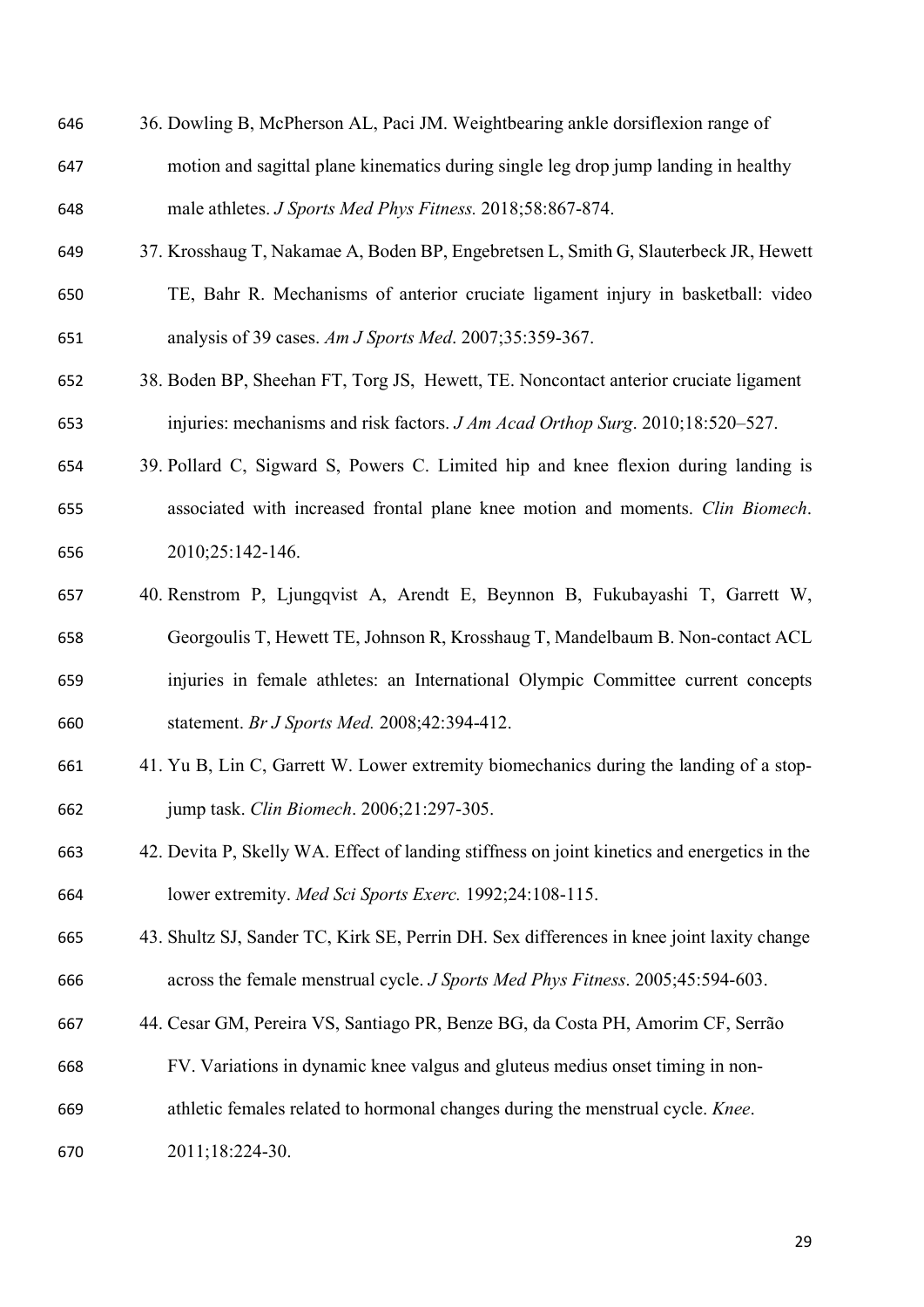- 36. Dowling B, McPherson AL, Paci JM. Weightbearing ankle dorsiflexion range of
- motion and sagittal plane kinematics during single leg drop jump landing in healthy male athletes. *J Sports Med Phys Fitness.* 2018;58:867-874.
- 37. Krosshaug T, Nakamae A, Boden BP, Engebretsen L, Smith G, Slauterbeck JR, Hewett
- TE, Bahr R. Mechanisms of anterior cruciate ligament injury in basketball: video analysis of 39 cases. *Am J Sports Med*. 2007;35:359-367.
- 38. Boden BP, Sheehan FT, Torg JS, Hewett, TE. Noncontact anterior cruciate ligament injuries: mechanisms and risk factors. *J Am Acad Orthop Surg*. 2010;18:520–527.
- 39. Pollard C, Sigward S, Powers C. Limited hip and knee flexion during landing is associated with increased frontal plane knee motion and moments. *Clin Biomech*. 2010;25:142-146.
- 40. Renstrom P, Ljungqvist A, Arendt E, Beynnon B, Fukubayashi T, Garrett W, Georgoulis T, Hewett TE, Johnson R, Krosshaug T, Mandelbaum B. Non-contact ACL injuries in female athletes: an International Olympic Committee current concepts statement. *Br J Sports Med.* 2008;42:394-412.
- 41. Yu B, Lin C, Garrett W. Lower extremity biomechanics during the landing of a stop-jump task. *Clin Biomech*. 2006;21:297-305.
- 42. Devita P, Skelly WA. Effect of landing stiffness on joint kinetics and energetics in the lower extremity. *Med Sci Sports Exerc.* 1992;24:108-115.
- 43. Shultz SJ, Sander TC, Kirk SE, Perrin DH. Sex differences in knee joint laxity change across the female menstrual cycle. *J Sports Med Phys Fitness*. 2005;45:594-603.
- 44. Cesar GM, Pereira VS, Santiago PR, Benze BG, da Costa PH, Amorim CF, Serrão
- FV. Variations in dynamic knee valgus and gluteus medius onset timing in non-
- athletic females related to hormonal changes during the menstrual cycle. *Knee*.
- 2011;18:224-30.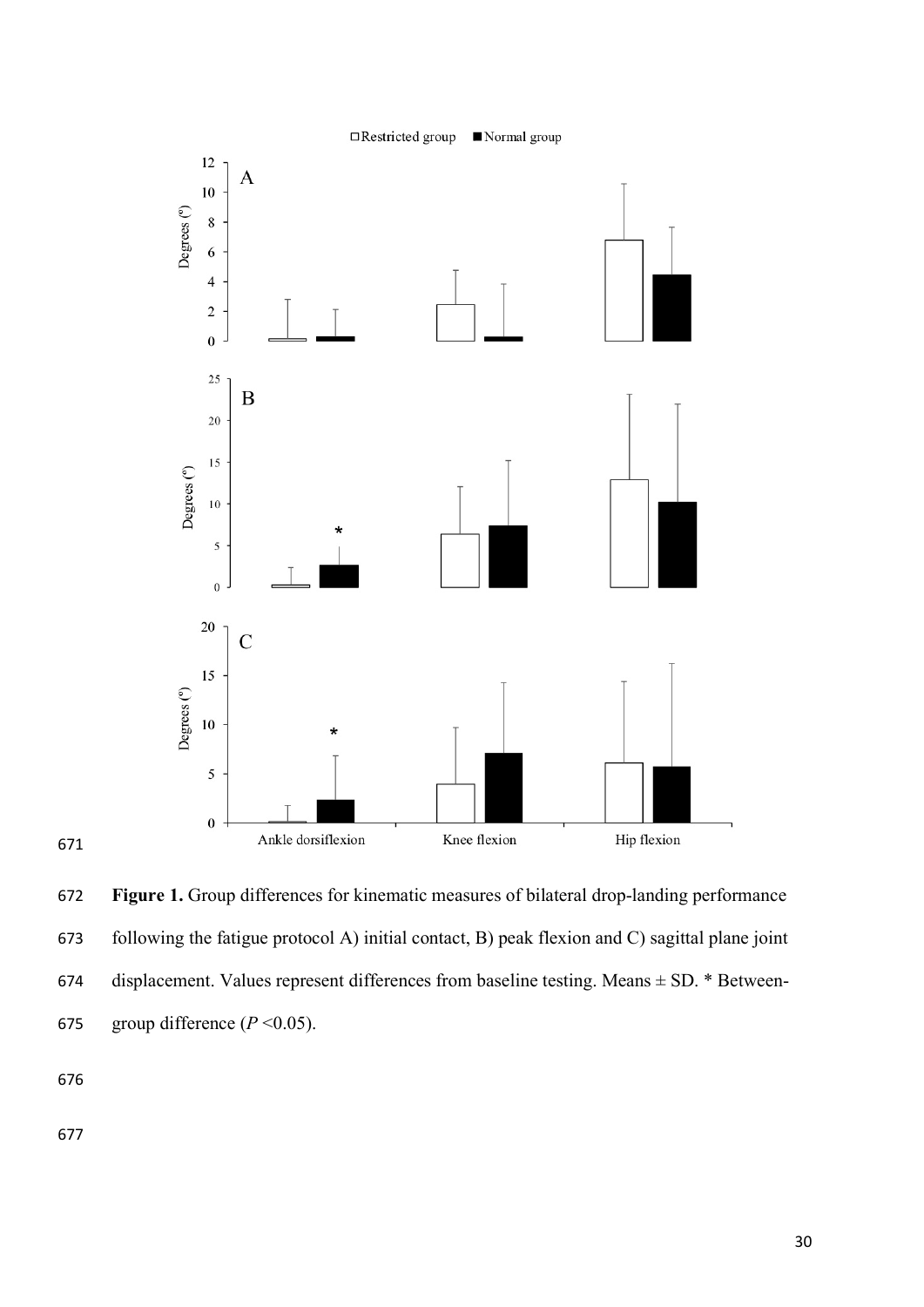

 **Figure 1.** Group differences for kinematic measures of bilateral drop-landing performance following the fatigue protocol A) initial contact, B) peak flexion and C) sagittal plane joint 674 displacement. Values represent differences from baseline testing. Means  $\pm$  SD.  $*$  Between-675 group difference  $(P < 0.05)$ .